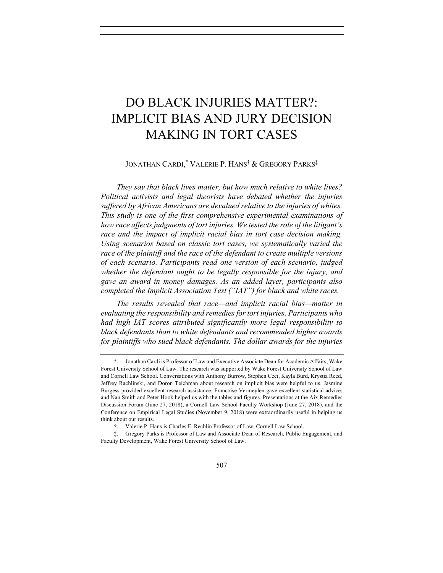# DO BLACK INJURIES MATTER?: IMPLICIT BIAS AND JURY DECISION MAKING IN TORT CASES

# JONATHAN CARDI, \* VALERIE P. HANS† & GREGORY PARKS‡

*They say that black lives matter, but how much relative to white lives? Political activists and legal theorists have debated whether the injuries suffered by African Americans are devalued relative to the injuries of whites. This study is one of the first comprehensive experimental examinations of how race affects judgments of tort injuries. We tested the role of the litigant's*  race and the impact of implicit racial bias in tort case decision making. *Using scenarios based on classic tort cases, we systematically varied the race of the plaintiff and the race of the defendant to create multiple versions of each scenario. Participants read one version of each scenario, judged whether the defendant ought to be legally responsible for the injury, and gave an award in money damages. As an added layer, participants also completed the Implicit Association Test ("IAT") for black and white races.*

*The results revealed that race—and implicit racial bias—matter in evaluating the responsibility and remedies for tort injuries. Participants who had high IAT scores attributed significantly more legal responsibility to black defendants than to white defendants and recommended higher awards for plaintiffs who sued black defendants. The dollar awards for the injuries* 

<sup>\*.</sup> Jonathan Cardi is Professor of Law and Executive Associate Dean for Academic Affairs, Wake Forest University School of Law. The research was supported by Wake Forest University School of Law and Cornell Law School. Conversations with Anthony Burrow, Stephen Ceci, Kayla Burd, Krystia Reed, Jeffrey Rachlinski, and Doron Teichman about research on implicit bias were helpful to us. Jasmine Burgess provided excellent research assistance; Francoise Vermeylen gave excellent statistical advice; and Nan Smith and Peter Hook helped us with the tables and figures. Presentations at the Aix Remedies Discussion Forum (June 27, 2018), a Cornell Law School Faculty Workshop (June 27, 2018), and the Conference on Empirical Legal Studies (November 9, 2018) were extraordinarily useful in helping us think about our results.

<sup>†.</sup> Valerie P. Hans is Charles F. Rechlin Professor of Law, Cornell Law School.

<sup>‡.</sup> Gregory Parks is Professor of Law and Associate Dean of Research, Public Engagement, and Faculty Development, Wake Forest University School of Law.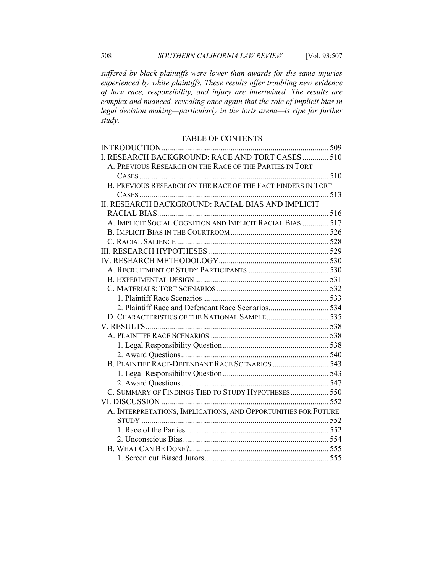*suffered by black plaintiffs were lower than awards for the same injuries experienced by white plaintiffs. These results offer troubling new evidence of how race, responsibility, and injury are intertwined. The results are complex and nuanced, revealing once again that the role of implicit bias in legal decision making—particularly in the torts arena—is ripe for further study.*

### TABLE OF CONTENTS

| I. RESEARCH BACKGROUND: RACE AND TORT CASES 510                |  |
|----------------------------------------------------------------|--|
| A. PREVIOUS RESEARCH ON THE RACE OF THE PARTIES IN TORT        |  |
|                                                                |  |
| B. PREVIOUS RESEARCH ON THE RACE OF THE FACT FINDERS IN TORT   |  |
|                                                                |  |
| II. RESEARCH BACKGROUND: RACIAL BIAS AND IMPLICIT              |  |
|                                                                |  |
| A. IMPLICIT SOCIAL COGNITION AND IMPLICIT RACIAL BIAS  517     |  |
|                                                                |  |
|                                                                |  |
|                                                                |  |
|                                                                |  |
|                                                                |  |
|                                                                |  |
|                                                                |  |
|                                                                |  |
| 2. Plaintiff Race and Defendant Race Scenarios 534             |  |
| D. CHARACTERISTICS OF THE NATIONAL SAMPLE 535                  |  |
|                                                                |  |
|                                                                |  |
|                                                                |  |
|                                                                |  |
|                                                                |  |
|                                                                |  |
|                                                                |  |
| C. SUMMARY OF FINDINGS TIED TO STUDY HYPOTHESES 550            |  |
|                                                                |  |
| A. INTERPRETATIONS, IMPLICATIONS, AND OPPORTUNITIES FOR FUTURE |  |
|                                                                |  |
|                                                                |  |
|                                                                |  |
|                                                                |  |
|                                                                |  |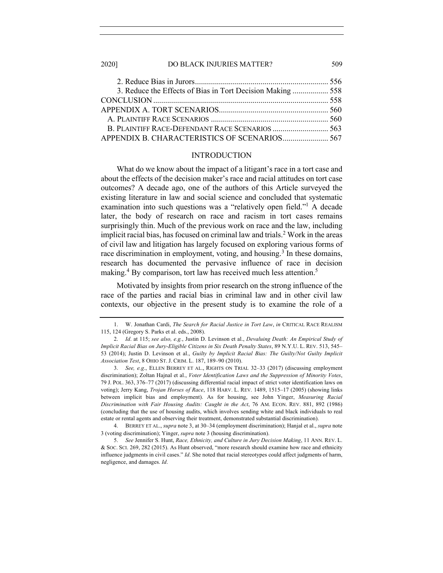#### 2020] DO BLACK INJURIES MATTER? 509

| 3. Reduce the Effects of Bias in Tort Decision Making 558 |  |
|-----------------------------------------------------------|--|
|                                                           |  |
|                                                           |  |
|                                                           |  |
| B. PLAINTIFF RACE-DEFENDANT RACE SCENARIOS  563           |  |
| APPENDIX B. CHARACTERISTICS OF SCENARIOS 567              |  |

#### INTRODUCTION

What do we know about the impact of a litigant's race in a tort case and about the effects of the decision maker's race and racial attitudes on tort case outcomes? A decade ago, one of the authors of this Article surveyed the existing literature in law and social science and concluded that systematic examination into such questions was a "relatively open field."1 A decade later, the body of research on race and racism in tort cases remains surprisingly thin. Much of the previous work on race and the law, including implicit racial bias, has focused on criminal law and trials.<sup>2</sup> Work in the areas of civil law and litigation has largely focused on exploring various forms of race discrimination in employment, voting, and housing.<sup>3</sup> In these domains, research has documented the pervasive influence of race in decision making.<sup>4</sup> By comparison, tort law has received much less attention.<sup>5</sup>

Motivated by insights from prior research on the strong influence of the race of the parties and racial bias in criminal law and in other civil law contexts, our objective in the present study is to examine the role of a

4. BERREY ET AL., *supra* note 3, at 30–34 (employment discrimination); Hanjal et al., *supra* note 3 (voting discrimination); Yinger, *supra* note 3 (housing discrimination).

<sup>1.</sup> W. Jonathan Cardi, *The Search for Racial Justice in Tort Law*, *in* CRITICAL RACE REALISM 115, 124 (Gregory S. Parks et al. eds., 2008).

<sup>2.</sup> *Id*. at 115; *see also, e.g.*, Justin D. Levinson et al., *Devaluing Death: An Empirical Study of Implicit Racial Bias on Jury-Eligible Citizens in Six Death Penalty States*, 89 N.Y.U. L. REV. 513, 545– 53 (2014); Justin D. Levinson et al., *Guilty by Implicit Racial Bias: The Guilty/Not Guilty Implicit Association Test*, 8 OHIO ST. J. CRIM. L. 187, 189–90 (2010).

<sup>3.</sup> *See, e.g*., ELLEN BERREY ET AL., RIGHTS ON TRIAL 32–33 (2017) (discussing employment discrimination); Zoltan Hajnal et al., *Voter Identification Laws and the Suppression of Minority Votes*, 79 J. POL. 363, 376–77 (2017) (discussing differential racial impact of strict voter identification laws on voting); Jerry Kang, *Trojan Horses of Race*, 118 HARV. L. REV. 1489, 1515–17 (2005) (showing links between implicit bias and employment). As for housing, see John Yinger, *Measuring Racial Discrimination with Fair Housing Audits: Caught in the Act*, 76 AM. ECON. REV. 881, 892 (1986) (concluding that the use of housing audits, which involves sending white and black individuals to real estate or rental agents and observing their treatment, demonstrated substantial discrimination).

<sup>5.</sup> *See* Jennifer S. Hunt, *Race, Ethnicity, and Culture in Jury Decision Making*, 11 ANN. REV. L. & SOC. SCI. 269, 282 (2015). As Hunt observed, "more research should examine how race and ethnicity influence judgments in civil cases." *Id*. She noted that racial stereotypes could affect judgments of harm, negligence, and damages. *Id*.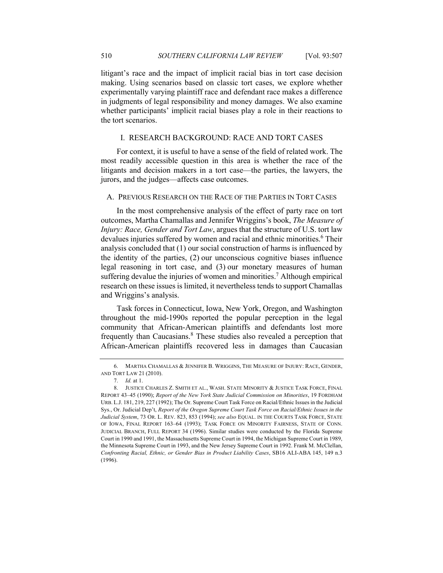litigant's race and the impact of implicit racial bias in tort case decision making. Using scenarios based on classic tort cases, we explore whether experimentally varying plaintiff race and defendant race makes a difference in judgments of legal responsibility and money damages. We also examine whether participants' implicit racial biases play a role in their reactions to the tort scenarios.

# I. RESEARCH BACKGROUND: RACE AND TORT CASES

For context, it is useful to have a sense of the field of related work. The most readily accessible question in this area is whether the race of the litigants and decision makers in a tort case—the parties, the lawyers, the jurors, and the judges—affects case outcomes.

# A. PREVIOUS RESEARCH ON THE RACE OF THE PARTIES IN TORT CASES

In the most comprehensive analysis of the effect of party race on tort outcomes, Martha Chamallas and Jennifer Wriggins's book, *The Measure of Injury: Race, Gender and Tort Law*, argues that the structure of U.S. tort law devalues injuries suffered by women and racial and ethnic minorities.<sup>6</sup> Their analysis concluded that (1) our social construction of harms is influenced by the identity of the parties, (2) our unconscious cognitive biases influence legal reasoning in tort case, and (3) our monetary measures of human suffering devalue the injuries of women and minorities.<sup>7</sup> Although empirical research on these issues is limited, it nevertheless tends to support Chamallas and Wriggins's analysis.

Task forces in Connecticut, Iowa, New York, Oregon, and Washington throughout the mid-1990s reported the popular perception in the legal community that African-American plaintiffs and defendants lost more frequently than Caucasians.<sup>8</sup> These studies also revealed a perception that African-American plaintiffs recovered less in damages than Caucasian

<sup>6.</sup> MARTHA CHAMALLAS & JENNIFER B. WRIGGINS, THE MEASURE OF INJURY: RACE, GENDER, AND TORT LAW 21 (2010).

<sup>7.</sup> *Id.* at 1.

<sup>8.</sup> JUSTICE CHARLES Z. SMITH ET AL., WASH. STATE MINORITY & JUSTICE TASK FORCE, FINAL REPORT 43–45 (1990); *Report of the New York State Judicial Commission on Minorities*, 19 FORDHAM URB. L.J. 181, 219, 227 (1992); The Or. Supreme Court Task Force on Racial/Ethnic Issues in the Judicial Sys., Or. Judicial Dep't, *Report of the Oregon Supreme Court Task Force on Racial/Ethnic Issues in the Judicial System*, 73 OR. L. REV. 823, 853 (1994); *see also* EQUAL. IN THE COURTS TASK FORCE, STATE OF IOWA, FINAL REPORT 163–64 (1993); TASK FORCE ON MINORITY FAIRNESS, STATE OF CONN. JUDICIAL BRANCH, FULL REPORT 34 (1996). Similar studies were conducted by the Florida Supreme Court in 1990 and 1991, the Massachusetts Supreme Court in 1994, the Michigan Supreme Court in 1989, the Minnesota Supreme Court in 1993, and the New Jersey Supreme Court in 1992. Frank M. McClellan, *Confronting Racial, Ethnic, or Gender Bias in Product Liability Cases*, SB16 ALI-ABA 145, 149 n.3 (1996).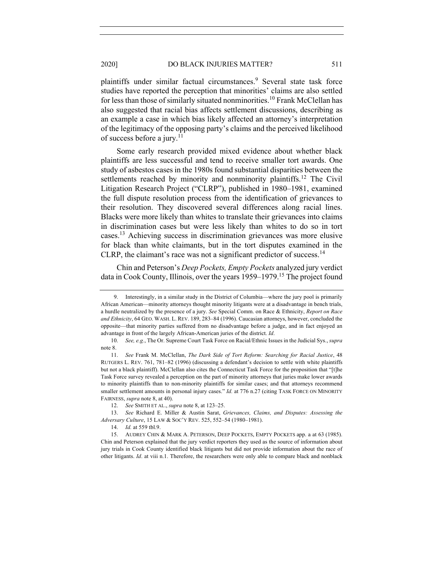plaintiffs under similar factual circumstances.<sup>9</sup> Several state task force studies have reported the perception that minorities' claims are also settled for less than those of similarly situated nonminorities.<sup>10</sup> Frank McClellan has also suggested that racial bias affects settlement discussions, describing as an example a case in which bias likely affected an attorney's interpretation of the legitimacy of the opposing party's claims and the perceived likelihood of success before a jury.<sup>11</sup>

Some early research provided mixed evidence about whether black plaintiffs are less successful and tend to receive smaller tort awards. One study of asbestos cases in the 1980s found substantial disparities between the settlements reached by minority and nonminority plaintiffs.<sup>12</sup> The Civil Litigation Research Project ("CLRP"), published in 1980–1981, examined the full dispute resolution process from the identification of grievances to their resolution. They discovered several differences along racial lines. Blacks were more likely than whites to translate their grievances into claims in discrimination cases but were less likely than whites to do so in tort cases.13 Achieving success in discrimination grievances was more elusive for black than white claimants, but in the tort disputes examined in the CLRP, the claimant's race was not a significant predictor of success.<sup>14</sup>

Chin and Peterson's *Deep Pockets, Empty Pockets* analyzed jury verdict data in Cook County, Illinois, over the years 1959–1979.15 The project found

<sup>9.</sup> Interestingly, in a similar study in the District of Columbia—where the jury pool is primarily African American—minority attorneys thought minority litigants were at a disadvantage in bench trials, a hurdle neutralized by the presence of a jury. *See* Special Comm. on Race & Ethnicity, *Report on Race and Ethnicity*, 64 GEO. WASH. L. REV. 189, 283–84 (1996). Caucasian attorneys, however, concluded the opposite—that minority parties suffered from no disadvantage before a judge, and in fact enjoyed an advantage in front of the largely African-American juries of the district. *Id*.

<sup>10.</sup> *See, e.g.*, The Or. Supreme Court Task Force on Racial/Ethnic Issues in the Judicial Sys., *supra* note 8.

<sup>11.</sup> *See* Frank M. McClellan, *The Dark Side of Tort Reform: Searching for Racial Justice*, 48 RUTGERS L. REV. 761, 781–82 (1996) (discussing a defendant's decision to settle with white plaintiffs but not a black plaintiff). McClellan also cites the Connecticut Task Force for the proposition that "[t]he Task Force survey revealed a perception on the part of minority attorneys that juries make lower awards to minority plaintiffs than to non-minority plaintiffs for similar cases; and that attorneys recommend smaller settlement amounts in personal injury cases." *Id.* at 776 n.27 (citing TASK FORCE ON MINORITY FAIRNESS, *supra* note 8, at 40).

<sup>12.</sup> *See* SMITH ET AL., *supra* note 8, at 123–25.

<sup>13.</sup> *See* Richard E. Miller & Austin Sarat, *Grievances, Claims, and Disputes: Assessing the Adversary Culture*, 15 LAW & SOC'Y REV. 525, 552–54 (1980–1981).

<sup>14.</sup> *Id.* at 559 tbl.9.

<sup>15.</sup> AUDREY CHIN & MARK A. PETERSON, DEEP POCKETS, EMPTY POCKETS app. a at 63 (1985). Chin and Peterson explained that the jury verdict reporters they used as the source of information about jury trials in Cook County identified black litigants but did not provide information about the race of other litigants. *Id*. at viii n.1. Therefore, the researchers were only able to compare black and nonblack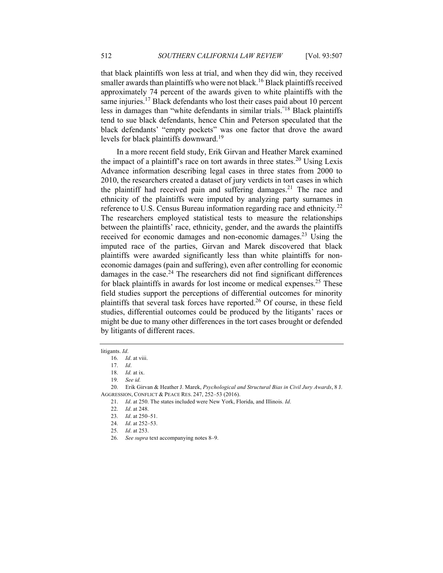that black plaintiffs won less at trial, and when they did win, they received smaller awards than plaintiffs who were not black.<sup>16</sup> Black plaintiffs received approximately 74 percent of the awards given to white plaintiffs with the same injuries.<sup>17</sup> Black defendants who lost their cases paid about 10 percent less in damages than "white defendants in similar trials."<sup>18</sup> Black plaintiffs tend to sue black defendants, hence Chin and Peterson speculated that the black defendants' "empty pockets" was one factor that drove the award levels for black plaintiffs downward.<sup>19</sup>

In a more recent field study, Erik Girvan and Heather Marek examined the impact of a plaintiff's race on tort awards in three states.<sup>20</sup> Using Lexis Advance information describing legal cases in three states from 2000 to 2010, the researchers created a dataset of jury verdicts in tort cases in which the plaintiff had received pain and suffering damages.<sup>21</sup> The race and ethnicity of the plaintiffs were imputed by analyzing party surnames in reference to U.S. Census Bureau information regarding race and ethnicity.<sup>22</sup> The researchers employed statistical tests to measure the relationships between the plaintiffs' race, ethnicity, gender, and the awards the plaintiffs received for economic damages and non-economic damages.<sup>23</sup> Using the imputed race of the parties, Girvan and Marek discovered that black plaintiffs were awarded significantly less than white plaintiffs for noneconomic damages (pain and suffering), even after controlling for economic damages in the case. $24$  The researchers did not find significant differences for black plaintiffs in awards for lost income or medical expenses.<sup>25</sup> These field studies support the perceptions of differential outcomes for minority plaintiffs that several task forces have reported.<sup>26</sup> Of course, in these field studies, differential outcomes could be produced by the litigants' races or might be due to many other differences in the tort cases brought or defended by litigants of different races.

litigants. *Id*.

<sup>16.</sup> *Id*. at viii.

<sup>17.</sup> *Id*.

<sup>18.</sup> *Id.* at ix.

<sup>19.</sup> *See id.*

<sup>20.</sup> Erik Girvan & Heather J. Marek, *Psychological and Structural Bias in Civil Jury Awards*, 8 J. AGGRESSION, CONFLICT & PEACE RES. 247, 252–53 (2016).

<sup>21.</sup> *Id*. at 250. The states included were New York, Florida, and Illinois. *Id*.

<sup>22.</sup> *Id*. at 248.

<sup>23.</sup> *Id*. at 250–51.

<sup>24.</sup> *Id*. at 252–53.

<sup>25.</sup> *Id*. at 253.

<sup>26.</sup> *See supra* text accompanying notes 8–9.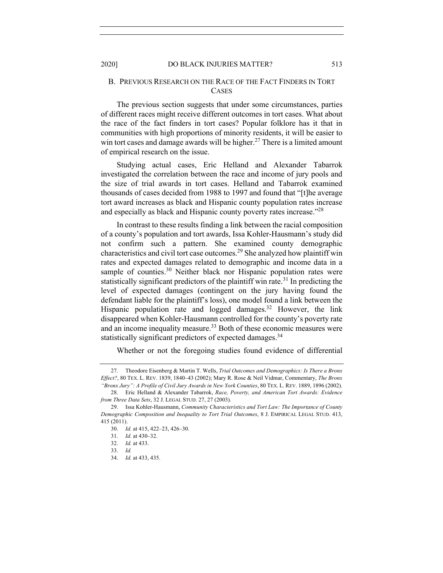# B. PREVIOUS RESEARCH ON THE RACE OF THE FACT FINDERS IN TORT **CASES**

The previous section suggests that under some circumstances, parties of different races might receive different outcomes in tort cases. What about the race of the fact finders in tort cases? Popular folklore has it that in communities with high proportions of minority residents, it will be easier to win tort cases and damage awards will be higher.<sup>27</sup> There is a limited amount of empirical research on the issue.

Studying actual cases, Eric Helland and Alexander Tabarrok investigated the correlation between the race and income of jury pools and the size of trial awards in tort cases. Helland and Tabarrok examined thousands of cases decided from 1988 to 1997 and found that "[t]he average tort award increases as black and Hispanic county population rates increase and especially as black and Hispanic county poverty rates increase."<sup>28</sup>

In contrast to these results finding a link between the racial composition of a county's population and tort awards, Issa Kohler-Hausmann's study did not confirm such a pattern. She examined county demographic characteristics and civil tort case outcomes.29 She analyzed how plaintiff win rates and expected damages related to demographic and income data in a sample of counties.<sup>30</sup> Neither black nor Hispanic population rates were statistically significant predictors of the plaintiff win rate.<sup>31</sup> In predicting the level of expected damages (contingent on the jury having found the defendant liable for the plaintiff's loss), one model found a link between the Hispanic population rate and logged damages.<sup>32</sup> However, the link disappeared when Kohler-Hausmann controlled for the county's poverty rate and an income inequality measure.<sup>33</sup> Both of these economic measures were statistically significant predictors of expected damages.<sup>34</sup>

Whether or not the foregoing studies found evidence of differential

<sup>27.</sup> Theodore Eisenberg & Martin T. Wells, *Trial Outcomes and Demographics: Is There a Bronx Effect?*, 80 TEX. L. REV. 1839, 1840–43 (2002); Mary R. Rose & Neil Vidmar, Commentary, *The Bronx "Bronx Jury": A Profile of Civil Jury Awards in New York Counties*, 80 TEX. L. REV. 1889, 1896 (2002).

<sup>28.</sup> Eric Helland & Alexander Tabarrok, *Race, Poverty, and American Tort Awards: Evidence from Three Data Sets*, 32 J. LEGAL STUD. 27, 27 (2003).

<sup>29.</sup> Issa Kohler-Hausmann, *Community Characteristics and Tort Law: The Importance of County Demographic Composition and Inequality to Tort Trial Outcomes*, 8 J. EMPIRICAL LEGAL STUD. 413, 415 (2011).

<sup>30.</sup> *Id.* at 415, 422–23, 426–30.

<sup>31.</sup> *Id.* at 430–32.

<sup>32.</sup> *Id.* at 433.

<sup>33.</sup> *Id.*

<sup>34.</sup> *Id.* at 433, 435.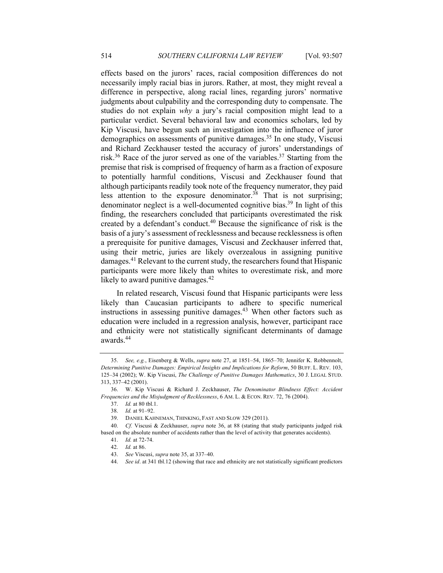effects based on the jurors' races, racial composition differences do not necessarily imply racial bias in jurors. Rather, at most, they might reveal a difference in perspective, along racial lines, regarding jurors' normative judgments about culpability and the corresponding duty to compensate. The studies do not explain *why* a jury's racial composition might lead to a particular verdict. Several behavioral law and economics scholars, led by Kip Viscusi, have begun such an investigation into the influence of juror demographics on assessments of punitive damages.<sup>35</sup> In one study, Viscusi and Richard Zeckhauser tested the accuracy of jurors' understandings of risk.<sup>36</sup> Race of the juror served as one of the variables.<sup>37</sup> Starting from the premise that risk is comprised of frequency of harm as a fraction of exposure to potentially harmful conditions, Viscusi and Zeckhauser found that although participants readily took note of the frequency numerator, they paid less attention to the exposure denominator.<sup>38</sup> That is not surprising; denominator neglect is a well-documented cognitive bias.<sup>39</sup> In light of this finding, the researchers concluded that participants overestimated the risk created by a defendant's conduct. $40$  Because the significance of risk is the basis of a jury's assessment of recklessness and because recklessness is often a prerequisite for punitive damages, Viscusi and Zeckhauser inferred that, using their metric, juries are likely overzealous in assigning punitive damages.<sup>41</sup> Relevant to the current study, the researchers found that Hispanic participants were more likely than whites to overestimate risk, and more likely to award punitive damages. $42$ 

In related research, Viscusi found that Hispanic participants were less likely than Caucasian participants to adhere to specific numerical instructions in assessing punitive damages.<sup>43</sup> When other factors such as education were included in a regression analysis, however, participant race and ethnicity were not statistically significant determinants of damage awards.44

<sup>35.</sup> *See, e.g.*, Eisenberg & Wells, *supra* note 27, at 1851–54, 1865–70; Jennifer K. Robbennolt, *Determining Punitive Damages: Empirical Insights and Implications for Reform*, 50 BUFF. L. REV. 103, 125–34 (2002); W. Kip Viscusi, *The Challenge of Punitive Damages Mathematics*, 30 J. LEGAL STUD. 313, 337–42 (2001).

<sup>36.</sup> W. Kip Viscusi & Richard J. Zeckhauser, *The Denominator Blindness Effect: Accident Frequencies and the Misjudgment of Recklessness*, 6 AM. L. & ECON. REV. 72, 76 (2004).

<sup>37.</sup> *Id.* at 80 tbl.1.

<sup>38.</sup> *Id.* at 91–92.

<sup>39.</sup> DANIEL KAHNEMAN, THINKING, FAST AND SLOW 329 (2011).

<sup>40.</sup> *Cf.* Viscusi & Zeckhauser, *supra* note 36, at 88 (stating that study participants judged risk based on the absolute number of accidents rather than the level of activity that generates accidents).

<sup>41.</sup> *Id.* at 72-74.

<sup>42.</sup> *Id.* at 86.

<sup>43.</sup> *See* Viscusi, *supra* note 35, at 337–40.

<sup>44.</sup> *See id*. at 341 tbl.12 (showing that race and ethnicity are not statistically significant predictors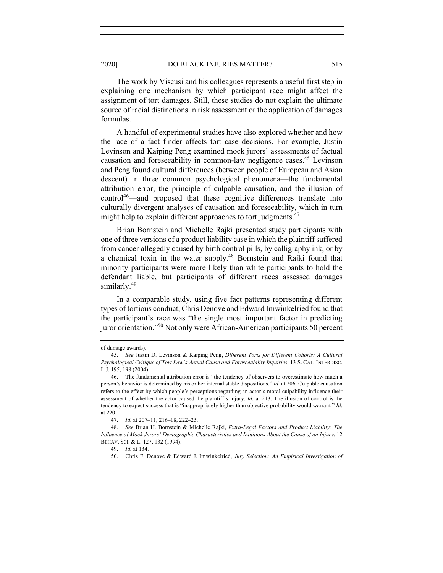The work by Viscusi and his colleagues represents a useful first step in explaining one mechanism by which participant race might affect the assignment of tort damages. Still, these studies do not explain the ultimate source of racial distinctions in risk assessment or the application of damages formulas.

A handful of experimental studies have also explored whether and how the race of a fact finder affects tort case decisions. For example, Justin Levinson and Kaiping Peng examined mock jurors' assessments of factual causation and foreseeability in common-law negligence cases.<sup>45</sup> Levinson and Peng found cultural differences (between people of European and Asian descent) in three common psychological phenomena—the fundamental attribution error, the principle of culpable causation, and the illusion of  $control<sup>46</sup>$ —and proposed that these cognitive differences translate into culturally divergent analyses of causation and foreseeability, which in turn might help to explain different approaches to tort judgments. $47$ 

Brian Bornstein and Michelle Rajki presented study participants with one of three versions of a product liability case in which the plaintiff suffered from cancer allegedly caused by birth control pills, by calligraphy ink, or by a chemical toxin in the water supply.48 Bornstein and Rajki found that minority participants were more likely than white participants to hold the defendant liable, but participants of different races assessed damages similarly.<sup>49</sup>

In a comparable study, using five fact patterns representing different types of tortious conduct, Chris Denove and Edward Imwinkelried found that the participant's race was "the single most important factor in predicting juror orientation."50 Not only were African-American participants 50 percent

of damage awards).

<sup>45.</sup> *See* Justin D. Levinson & Kaiping Peng, *Different Torts for Different Cohorts: A Cultural Psychological Critique of Tort Law's Actual Cause and Foreseeability Inquiries*, 13 S. CAL. INTERDISC. L.J. 195, 198 (2004).

<sup>46.</sup> The fundamental attribution error is "the tendency of observers to overestimate how much a person's behavior is determined by his or her internal stable dispositions." *Id*. at 206. Culpable causation refers to the effect by which people's perceptions regarding an actor's moral culpability influence their assessment of whether the actor caused the plaintiff's injury. *Id.* at 213. The illusion of control is the tendency to expect success that is "inappropriately higher than objective probability would warrant." *Id*. at 220.

<sup>47.</sup> *Id.* at 207–11, 216–18, 222–23.

<sup>48.</sup> *See* Brian H. Bornstein & Michelle Rajki, *Extra-Legal Factors and Product Liability: The Influence of Mock Jurors' Demographic Characteristics and Intuitions About the Cause of an Injury*, 12 BEHAV. SCI. & L. 127, 132 (1994).

<sup>49.</sup> *Id.* at 134.

<sup>50.</sup> Chris F. Denove & Edward J. Imwinkelried, *Jury Selection: An Empirical Investigation of*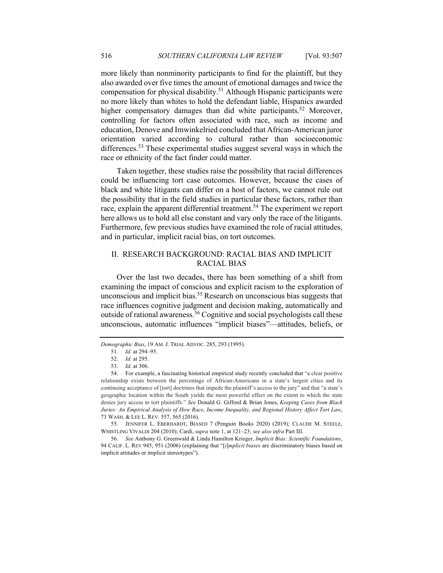more likely than nonminority participants to find for the plaintiff, but they also awarded over five times the amount of emotional damages and twice the compensation for physical disability.<sup>51</sup> Although Hispanic participants were no more likely than whites to hold the defendant liable, Hispanics awarded higher compensatory damages than did white participants.<sup>52</sup> Moreover, controlling for factors often associated with race, such as income and education, Denove and Imwinkelried concluded that African-American juror orientation varied according to cultural rather than socioeconomic differences.53 These experimental studies suggest several ways in which the race or ethnicity of the fact finder could matter.

Taken together, these studies raise the possibility that racial differences could be influencing tort case outcomes. However, because the cases of black and white litigants can differ on a host of factors, we cannot rule out the possibility that in the field studies in particular these factors, rather than race, explain the apparent differential treatment.<sup>54</sup> The experiment we report here allows us to hold all else constant and vary only the race of the litigants. Furthermore, few previous studies have examined the role of racial attitudes, and in particular, implicit racial bias, on tort outcomes.

# II. RESEARCH BACKGROUND: RACIAL BIAS AND IMPLICIT RACIAL BIAS

Over the last two decades, there has been something of a shift from examining the impact of conscious and explicit racism to the exploration of unconscious and implicit bias.<sup>55</sup> Research on unconscious bias suggests that race influences cognitive judgment and decision making, automatically and outside of rational awareness.<sup>56</sup> Cognitive and social psychologists call these unconscious, automatic influences "implicit biases"—attitudes, beliefs, or

55. JENNIFER L. EBERHARDT, BIASED 7 (Penguin Books 2020) (2019); CLAUDE M. STEELE, WHISTLING VIVALDI 204 (2010); Cardi, *supra* note 1, at 121–23; *see also infra* Part III.

56. *See* Anthony G. Greenwald & Linda Hamilton Krieger, *Implicit Bias: Scientific Foundations*, 94 CALIF. L. REV 945, 951 (2006) (explaining that "[*i*]*mplicit biases* are discriminatory biases based on implicit attitudes or implicit stereotypes").

*Demographic Bias*, 19 AM. J. TRIAL ADVOC. 285, 293 (1995).

<sup>51.</sup> *Id.* at 294–95.

<sup>52.</sup> *Id.* at 295.

<sup>53.</sup> *Id.* at 306.

<sup>54.</sup> For example, a fascinating historical empirical study recently concluded that "a clear positive relationship exists between the percentage of African-Americans in a state's largest cities and its continuing acceptance of [tort] doctrines that impede the plaintiff's access to the jury" and that "a state's geographic location within the South yields the most powerful effect on the extent to which the state denies jury access to tort plaintiffs." *See* Donald G. Gifford & Brian Jones, *Keeping Cases from Black Juries: An Empirical Analysis of How Race, Income Inequality, and Regional History Affect Tort Law*, 73 WASH. & LEE L. REV. 557, 565 (2016).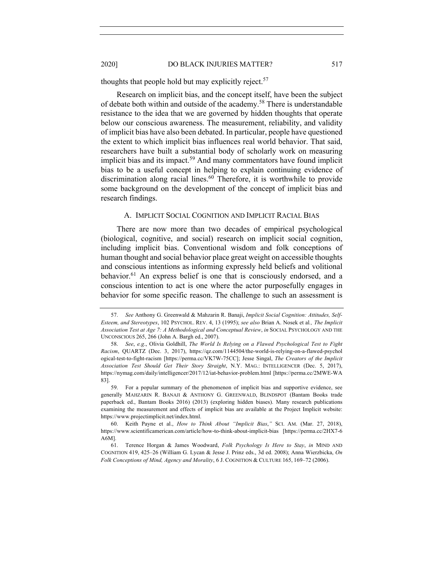#### 2020] DO BLACK INJURIES MATTER? 517

thoughts that people hold but may explicitly reject.<sup>57</sup>

Research on implicit bias, and the concept itself, have been the subject of debate both within and outside of the academy.58 There is understandable resistance to the idea that we are governed by hidden thoughts that operate below our conscious awareness. The measurement, reliability, and validity of implicit bias have also been debated. In particular, people have questioned the extent to which implicit bias influences real world behavior. That said, researchers have built a substantial body of scholarly work on measuring implicit bias and its impact.<sup>59</sup> And many commentators have found implicit bias to be a useful concept in helping to explain continuing evidence of discrimination along racial lines.<sup>60</sup> Therefore, it is worthwhile to provide some background on the development of the concept of implicit bias and research findings.

#### A. IMPLICIT SOCIAL COGNITION AND IMPLICIT RACIAL BIAS

There are now more than two decades of empirical psychological (biological, cognitive, and social) research on implicit social cognition, including implicit bias. Conventional wisdom and folk conceptions of human thought and social behavior place great weight on accessible thoughts and conscious intentions as informing expressly held beliefs and volitional behavior.<sup>61</sup> An express belief is one that is consciously endorsed, and a conscious intention to act is one where the actor purposefully engages in behavior for some specific reason. The challenge to such an assessment is

<sup>57.</sup> *See* Anthony G. Greenwald & Mahzarin R. Banaji, *Implicit Social Cognition: Attitudes, Self-Esteem, and Stereotypes*, 102 PSYCHOL. REV. 4, 13 (1995); *see also* Brian A. Nosek et al*., The Implicit Association Test at Age 7: A Methodological and Conceptual Review*, *in* SOCIAL PSYCHOLOGY AND THE UNCONSCIOUS 265, 266 (John A. Bargh ed., 2007).

<sup>58.</sup> *See*, *e.g*., Olivia Goldhill, *The World Is Relying on a Flawed Psychological Test to Fight Racism*, QUARTZ (Dec. 3, 2017), https://qz.com/1144504/the-world-is-relying-on-a-flawed-psychol ogical-test-to-fight-racism [https://perma.cc/VK7W-75CC]; Jesse Singal, *The Creators of the Implicit Association Test Should Get Their Story Straight*, N.Y. MAG.: INTELLIGENCER (Dec. 5, 2017), https://nymag.com/daily/intelligencer/2017/12/iat-behavior-problem.html [https://perma.cc/2MWE-WA 83].

<sup>59.</sup> For a popular summary of the phenomenon of implicit bias and supportive evidence, see generally MAHZARIN R. BANAJI & ANTHONY G. GREENWALD, BLINDSPOT (Bantam Books trade paperback ed., Bantam Books 2016) (2013) (exploring hidden biases). Many research publications examining the measurement and effects of implicit bias are available at the Project Implicit website: https://www.projectimplicit.net/index.html.

<sup>60.</sup> Keith Payne et al., *How to Think About "Implicit Bias*,*"* SCI. AM. (Mar. 27, 2018), https://www.scientificamerican.com/article/how-to-think-about-implicit-bias [https://perma.cc/2HX7-6 A6M].

<sup>61.</sup> Terence Horgan & James Woodward, *Folk Psychology Is Here to Stay*, *in* MIND AND COGNITION 419, 425–26 (William G. Lycan & Jesse J. Prinz eds., 3d ed. 2008); Anna Wierzbicka, *On Folk Conceptions of Mind, Agency and Morality*, 6 J. COGNITION & CULTURE 165, 169–72 (2006).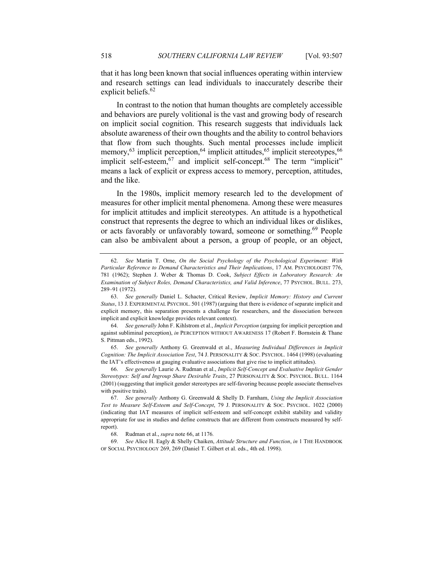that it has long been known that social influences operating within interview and research settings can lead individuals to inaccurately describe their explicit beliefs.<sup>62</sup>

In contrast to the notion that human thoughts are completely accessible and behaviors are purely volitional is the vast and growing body of research on implicit social cognition. This research suggests that individuals lack absolute awareness of their own thoughts and the ability to control behaviors that flow from such thoughts. Such mental processes include implicit memory,  $^{63}$  implicit perception,  $^{64}$  implicit attitudes,  $^{65}$  implicit stereotypes,  $^{66}$ implicit self-esteem,<sup>67</sup> and implicit self-concept.<sup>68</sup> The term "implicit" means a lack of explicit or express access to memory, perception, attitudes, and the like.

In the 1980s, implicit memory research led to the development of measures for other implicit mental phenomena. Among these were measures for implicit attitudes and implicit stereotypes. An attitude is a hypothetical construct that represents the degree to which an individual likes or dislikes, or acts favorably or unfavorably toward, someone or something.<sup>69</sup> People can also be ambivalent about a person, a group of people, or an object,

64. *See generally* John F. Kihlstrom et al., *Implicit Perception* (arguing for implicit perception and against subliminal perception), *in* PERCEPTION WITHOUT AWARENESS 17 (Robert F. Bornstein & Thane S. Pittman eds., 1992).

65. *See generally* Anthony G. Greenwald et al., *Measuring Individual Differences in Implicit Cognition: The Implicit Association Test*, 74 J. PERSONALITY & SOC. PSYCHOL. 1464 (1998) (evaluating the IAT's effectiveness at gauging evaluative associations that give rise to implicit attitudes).

66. *See generally* Laurie A. Rudman et al., *Implicit Self-Concept and Evaluative Implicit Gender Stereotypes: Self and Ingroup Share Desirable Traits*, 27 PERSONALITY & SOC. PSYCHOL. BULL. 1164 (2001) (suggesting that implicit gender stereotypes are self-favoring because people associate themselves with positive traits).

68. Rudman et al., *supra* note 66, at 1176*.*

69. *See* Alice H. Eagly & Shelly Chaiken, *Attitude Structure and Function*, *in* 1 THE HANDBOOK OF SOCIAL PSYCHOLOGY 269, 269 (Daniel T. Gilbert et al. eds., 4th ed. 1998).

<sup>62.</sup> *See* Martin T. Orne, *On the Social Psychology of the Psychological Experiment: With Particular Reference to Demand Characteristics and Their Implications*, 17 AM. PSYCHOLOGIST 776, 781 (1962); Stephen J. Weber & Thomas D. Cook, *Subject Effects in Laboratory Research: An Examination of Subject Roles, Demand Characteristics, and Valid Inference*, 77 PSYCHOL. BULL. 273, 289–91 (1972).

<sup>63.</sup> *See generally* Daniel L. Schacter, Critical Review, *Implicit Memory: History and Current Status*, 13 J. EXPERIMENTAL PSYCHOL. 501 (1987) (arguing that there is evidence of separate implicit and explicit memory, this separation presents a challenge for researchers, and the dissociation between implicit and explicit knowledge provides relevant context).

<sup>67.</sup> *See generally* Anthony G. Greenwald & Shelly D. Farnham, *Using the Implicit Association Test to Measure Self-Esteem and Self-Concept*, 79 J. PERSONALITY & SOC. PSYCHOL. 1022 (2000) (indicating that IAT measures of implicit self-esteem and self-concept exhibit stability and validity appropriate for use in studies and define constructs that are different from constructs measured by selfreport).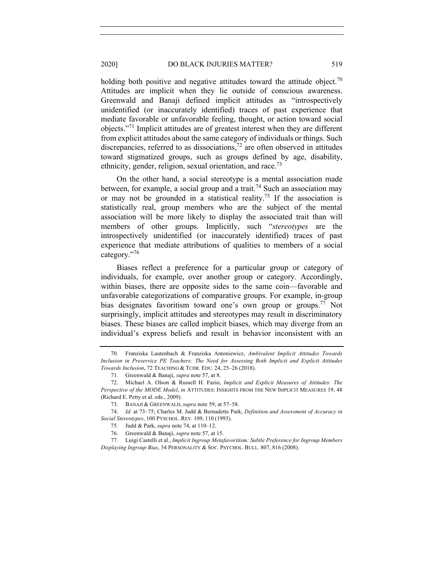### 2020] DO BLACK INJURIES MATTER? 519

holding both positive and negative attitudes toward the attitude object.<sup>70</sup> Attitudes are implicit when they lie outside of conscious awareness. Greenwald and Banaji defined implicit attitudes as "introspectively unidentified (or inaccurately identified) traces of past experience that mediate favorable or unfavorable feeling, thought, or action toward social objects."<sup>71</sup> Implicit attitudes are of greatest interest when they are different from explicit attitudes about the same category of individuals or things. Such discrepancies, referred to as dissociations,<sup>72</sup> are often observed in attitudes toward stigmatized groups, such as groups defined by age, disability, ethnicity, gender, religion, sexual orientation, and race.<sup>73</sup>

On the other hand, a social stereotype is a mental association made between, for example, a social group and a trait.<sup>74</sup> Such an association may or may not be grounded in a statistical reality.<sup>75</sup> If the association is statistically real, group members who are the subject of the mental association will be more likely to display the associated trait than will members of other groups. Implicitly, such "*stereotypes* are the introspectively unidentified (or inaccurately identified) traces of past experience that mediate attributions of qualities to members of a social category."<sup>76</sup>

Biases reflect a preference for a particular group or category of individuals, for example, over another group or category. Accordingly, within biases, there are opposite sides to the same coin—favorable and unfavorable categorizations of comparative groups. For example, in-group bias designates favoritism toward one's own group or groups.<sup>77</sup> Not surprisingly, implicit attitudes and stereotypes may result in discriminatory biases. These biases are called implicit biases, which may diverge from an individual's express beliefs and result in behavior inconsistent with an

<sup>70.</sup> Franziska Lautenbach & Franziska Antoniewicz, *Ambivalent Implicit Attitudes Towards Inclusion in Preservice PE Teachers: The Need for Assessing Both Implicit and Explicit Attitudes Towards Inclusion*, 72 TEACHING & TCHR. EDU. 24, 25–26 (2018).

<sup>71.</sup> Greenwald & Banaji, *supra* note 57, at 8.

<sup>72.</sup> Michael A. Olson & Russell H. Fazio, *Implicit and Explicit Measures of Attitudes: The Perspective of the MODE Model*, *in* ATTITUDES: INSIGHTS FROM THE NEW IMPLICIT MEASURES 19, 48 (Richard E. Petty et al. eds., 2009).

<sup>73.</sup> BANAJI & GREENWALD, *supra* note 59, at 57–58.

<sup>74.</sup> *Id.* at 73–75; Charles M. Judd & Bernadette Park, *Definition and Assessment of Accuracy in Social Stereotypes*, 100 PYSCHOL. REV. 109, 110 (1993).

<sup>75.</sup> Judd & Park, *supra* note 74, at 110–12.

<sup>76.</sup> Greenwald & Banaji, *supra* note 57, at 15.

<sup>77.</sup> Luigi Castelli et al., *Implicit Ingroup Metafavoritism: Subtle Preference for Ingroup Members Displaying Ingroup Bias*, 34 PERSONALITY & SOC. PSYCHOL. BULL. 807, 816 (2008).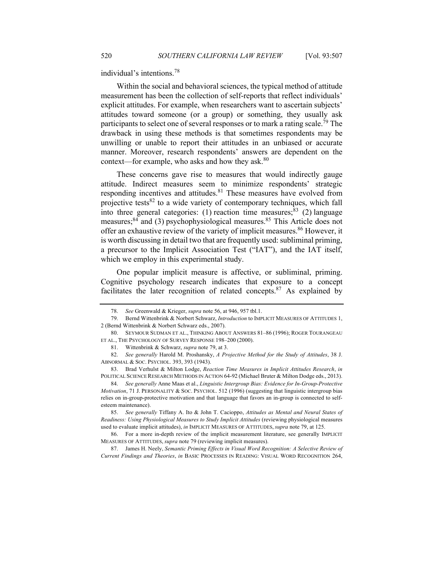individual's intentions.<sup>78</sup>

Within the social and behavioral sciences, the typical method of attitude measurement has been the collection of self-reports that reflect individuals' explicit attitudes. For example, when researchers want to ascertain subjects' attitudes toward someone (or a group) or something, they usually ask participants to select one of several responses or to mark a rating scale.<sup>79</sup> The drawback in using these methods is that sometimes respondents may be unwilling or unable to report their attitudes in an unbiased or accurate manner. Moreover, research respondents' answers are dependent on the context—for example, who asks and how they ask.<sup>80</sup>

These concerns gave rise to measures that would indirectly gauge attitude. Indirect measures seem to minimize respondents' strategic responding incentives and attitudes. $81$  These measures have evolved from projective tests<sup>82</sup> to a wide variety of contemporary techniques, which fall into three general categories: (1) reaction time measures;  $83$  (2) language measures;<sup>84</sup> and (3) psychophysiological measures.<sup>85</sup> This Article does not offer an exhaustive review of the variety of implicit measures.<sup>86</sup> However, it is worth discussing in detail two that are frequently used: subliminal priming, a precursor to the Implicit Association Test ("IAT"), and the IAT itself, which we employ in this experimental study.

One popular implicit measure is affective, or subliminal, priming. Cognitive psychology research indicates that exposure to a concept facilitates the later recognition of related concepts. $87$  As explained by

<sup>78.</sup> *See* Greenwald & Krieger, *supra* note 56, at 946, 957 tbl.1.

<sup>79.</sup> Bernd Wittenbrink & Norbert Schwarz, *Introduction* to IMPLICIT MEASURES OF ATTITUDES 1, 2 (Bernd Wittenbrink & Norbert Schwarz eds., 2007).

<sup>80.</sup> SEYMOUR SUDMAN ET AL., THINKING ABOUT ANSWERS 81–86 (1996); ROGER TOURANGEAU ET AL., THE PSYCHOLOGY OF SURVEY RESPONSE 198–200 (2000).

<sup>81.</sup> Wittenbrink & Schwarz, *supra* note 79, at 3.

<sup>82.</sup> *See generally* Harold M. Proshansky, *A Projective Method for the Study of Attitudes*, 38 J. ABNORMAL & SOC. PSYCHOL. 393, 393 (1943).

<sup>83.</sup> Brad Verhulst & Milton Lodge, *Reaction Time Measures in Implicit Attitudes Research*, *in* POLITICAL SCIENCE RESEARCH METHODS IN ACTION 64-92 (Michael Bruter & Milton Dodge eds., 2013).

<sup>84.</sup> *See generally* Anne Maas et al., *Linguistic Intergroup Bias: Evidence for In-Group-Protective Motivation*, 71 J. PERSONALITY & SOC. PSYCHOL. 512 (1996) (suggesting that linguistic intergroup bias relies on in-group-protective motivation and that language that favors an in-group is connected to selfesteem maintenance).

<sup>85.</sup> *See generally* Tiffany A. Ito & John T. Cacioppo, *Attitudes as Mental and Neural States of Readiness: Using Physiological Measures to Study Implicit Attitudes* (reviewing physiological measures used to evaluate implicit attitudes), *in* IMPLICIT MEASURES OF ATTITUDES, *supra* note 79, at 125.

<sup>86.</sup> For a more in-depth review of the implicit measurement literature, see generally IMPLICIT MEASURES OF ATTITUDES, *supra* note 79 (reviewing implicit measures).

<sup>87.</sup> James H. Neely, *Semantic Priming Effects in Visual Word Recognition: A Selective Review of Current Findings and Theories*, *in* BASIC PROCESSES IN READING: VISUAL WORD RECOGNITION 264,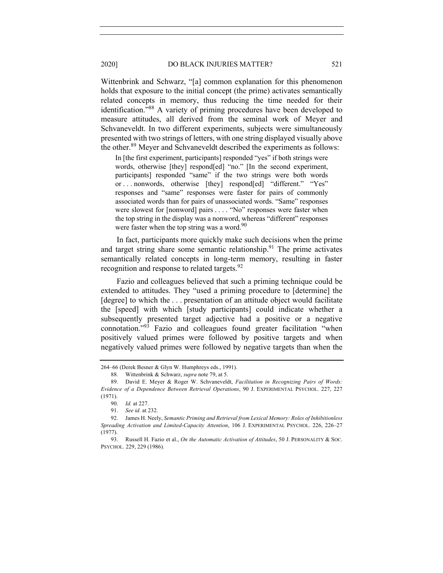#### 2020] DO BLACK INJURIES MATTER? 521

Wittenbrink and Schwarz, "[a] common explanation for this phenomenon holds that exposure to the initial concept (the prime) activates semantically related concepts in memory, thus reducing the time needed for their identification."88 A variety of priming procedures have been developed to measure attitudes, all derived from the seminal work of Meyer and Schvaneveldt. In two different experiments, subjects were simultaneously presented with two strings of letters, with one string displayed visually above the other.<sup>89</sup> Meyer and Schvaneveldt described the experiments as follows:

In [the first experiment, participants] responded "yes" if both strings were words, otherwise [they] respond[ed] "no." [In the second experiment, participants] responded "same" if the two strings were both words or . . . nonwords, otherwise [they] respond[ed] "different." "Yes" responses and "same" responses were faster for pairs of commonly associated words than for pairs of unassociated words. "Same" responses were slowest for [nonword] pairs . . . . "No" responses were faster when the top string in the display was a nonword, whereas "different" responses were faster when the top string was a word. $90$ 

In fact, participants more quickly make such decisions when the prime and target string share some semantic relationship.<sup>91</sup> The prime activates semantically related concepts in long-term memory, resulting in faster recognition and response to related targets.<sup>92</sup>

Fazio and colleagues believed that such a priming technique could be extended to attitudes. They "used a priming procedure to [determine] the [degree] to which the ... presentation of an attitude object would facilitate the [speed] with which [study participants] could indicate whether a subsequently presented target adjective had a positive or a negative connotation."93 Fazio and colleagues found greater facilitation "when positively valued primes were followed by positive targets and when negatively valued primes were followed by negative targets than when the

<sup>264–66</sup> (Derek Besner & Glyn W. Humphreys eds., 1991).

<sup>88.</sup> Wittenbrink & Schwarz, *supra* note 79, at 5.

<sup>89.</sup> David E. Meyer & Roger W. Schvaneveldt, *Facilitation in Recognizing Pairs of Words: Evidence of a Dependence Between Retrieval Operations*, 90 J. EXPERIMENTAL PSYCHOL. 227, 227 (1971).

<sup>90.</sup> *Id.* at 227.

<sup>91.</sup> *See id.* at 232.

<sup>92.</sup> James H. Neely, *Semantic Priming and Retrieval from Lexical Memory: Roles of Inhibitionless Spreading Activation and Limited-Capacity Attention*, 106 J. EXPERIMENTAL PSYCHOL. 226, 226–27 (1977).

<sup>93.</sup> Russell H. Fazio et al., *On the Automatic Activation of Attitudes*, 50 J. PERSONALITY & SOC. PSYCHOL. 229, 229 (1986).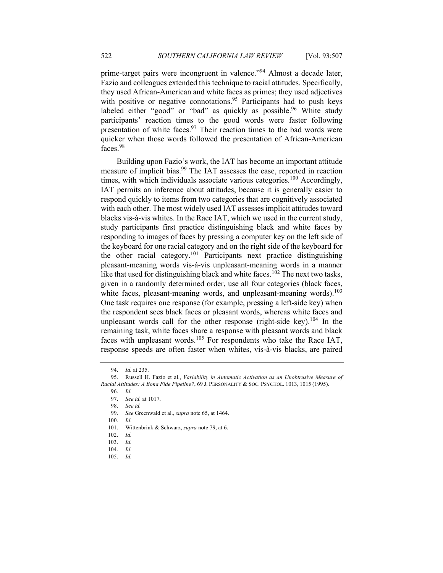prime-target pairs were incongruent in valence."94 Almost a decade later, Fazio and colleagues extended this technique to racial attitudes. Specifically, they used African-American and white faces as primes; they used adjectives with positive or negative connotations.<sup>95</sup> Participants had to push keys labeled either "good" or "bad" as quickly as possible.<sup>96</sup> White study participants' reaction times to the good words were faster following presentation of white faces. $97$  Their reaction times to the bad words were quicker when those words followed the presentation of African-American faces.<sup>98</sup>

Building upon Fazio's work, the IAT has become an important attitude measure of implicit bias.<sup>99</sup> The IAT assesses the ease, reported in reaction times, with which individuals associate various categories.<sup>100</sup> Accordingly, IAT permits an inference about attitudes, because it is generally easier to respond quickly to items from two categories that are cognitively associated with each other. The most widely used IAT assesses implicit attitudes toward blacks vis-á-vis whites. In the Race IAT, which we used in the current study, study participants first practice distinguishing black and white faces by responding to images of faces by pressing a computer key on the left side of the keyboard for one racial category and on the right side of the keyboard for the other racial category.<sup>101</sup> Participants next practice distinguishing pleasant-meaning words vis-á-vis unpleasant-meaning words in a manner like that used for distinguishing black and white faces.<sup>102</sup> The next two tasks, given in a randomly determined order, use all four categories (black faces, white faces, pleasant-meaning words, and unpleasant-meaning words).<sup>103</sup> One task requires one response (for example, pressing a left-side key) when the respondent sees black faces or pleasant words, whereas white faces and unpleasant words call for the other response (right-side key).<sup>104</sup> In the remaining task, white faces share a response with pleasant words and black faces with unpleasant words.<sup>105</sup> For respondents who take the Race IAT, response speeds are often faster when whites, vis-à-vis blacks, are paired

105. *Id.*

<sup>94.</sup> *Id.* at 235.

<sup>95.</sup> Russell H. Fazio et al., *Variability in Automatic Activation as an Unobtrusive Measure of Racial Attitudes: A Bona Fide Pipeline?*, 69 J. PERSONALITY & SOC. PSYCHOL. 1013, 1015 (1995).

<sup>96.</sup> *Id.*

<sup>97.</sup> *See id.* at 1017.

<sup>98.</sup> *See id.*

<sup>99.</sup> *See* Greenwald et al., *supra* note 65, at 1464.

<sup>100.</sup> *Id.*

<sup>101.</sup> Wittenbrink & Schwarz, *supra* note 79, at 6.

<sup>102.</sup> *Id.*

<sup>103.</sup> *Id.*

<sup>104.</sup> *Id.*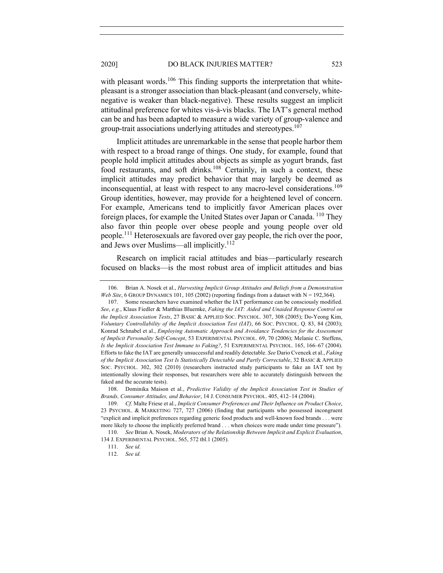# 2020] DO BLACK INJURIES MATTER? 523

with pleasant words.<sup>106</sup> This finding supports the interpretation that whitepleasant is a stronger association than black-pleasant (and conversely, whitenegative is weaker than black-negative). These results suggest an implicit attitudinal preference for whites vis-à-vis blacks. The IAT's general method can be and has been adapted to measure a wide variety of group-valence and group-trait associations underlying attitudes and stereotypes.<sup>107</sup>

Implicit attitudes are unremarkable in the sense that people harbor them with respect to a broad range of things. One study, for example, found that people hold implicit attitudes about objects as simple as yogurt brands, fast food restaurants, and soft drinks.<sup>108</sup> Certainly, in such a context, these implicit attitudes may predict behavior that may largely be deemed as inconsequential, at least with respect to any macro-level considerations.<sup>109</sup> Group identities, however, may provide for a heightened level of concern. For example, Americans tend to implicitly favor American places over foreign places, for example the United States over Japan or Canada. <sup>110</sup> They also favor thin people over obese people and young people over old people.<sup>111</sup> Heterosexuals are favored over gay people, the rich over the poor, and Jews over Muslims—all implicitly.<sup>112</sup>

Research on implicit racial attitudes and bias—particularly research focused on blacks—is the most robust area of implicit attitudes and bias

110. *See* Brian A. Nosek, *Moderators of the Relationship Between Implicit and Explicit Evaluation*, 134 J. EXPERIMENTAL PSYCHOL. 565, 572 tbl.1 (2005).

<sup>106.</sup> Brian A. Nosek et al., *Harvesting Implicit Group Attitudes and Beliefs from a Demonstration Web Site*, 6 GROUP DYNAMICS 101, 105 (2002) (reporting findings from a dataset with  $N = 192,364$ ).

<sup>107.</sup> Some researchers have examined whether the IAT performance can be consciously modified. *See*, *e.g.*, Klaus Fiedler & Matthias Bluemke, *Faking the IAT: Aided and Unaided Response Control on the Implicit Association Tests*, 27 BASIC & APPLIED SOC. PSYCHOL. 307, 308 (2005); Do-Yeong Kim, *Voluntary Controllability of the Implicit Association Test (IAT)*, 66 SOC. PSYCHOL. Q. 83, 84 (2003); Konrad Schnabel et al., *Employing Automatic Approach and Avoidance Tendencies for the Assessment of Implicit Personality Self-Concept*, 53 EXPERIMENTAL PSYCHOL. 69, 70 (2006); Melanie C. Steffens, *Is the Implicit Association Test Immune to Faking?*, 51 EXPERIMENTAL PSYCHOL. 165, 166–67 (2004). Efforts to fake the IAT are generally unsuccessful and readily detectable. *See* Dario Cvencek et al., *Faking of the Implicit Association Test Is Statistically Detectable and Partly Correctable*, 32 BASIC & APPLIED SOC. PSYCHOL. 302, 302 (2010) (researchers instructed study participants to fake an IAT test by intentionally slowing their responses, but researchers were able to accurately distinguish between the faked and the accurate tests).

<sup>108.</sup> Dominika Maison et al., *Predictive Validity of the Implicit Association Test in Studies of Brands, Consumer Attitudes, and Behavior*, 14 J. CONSUMER PSYCHOL. 405, 412–14 (2004).

<sup>109.</sup> *Cf.* Malte Friese et al., *Implicit Consumer Preferences and Their Influence on Product Choice*, 23 PSYCHOL. & MARKETING 727, 727 (2006) (finding that participants who possessed incongruent "explicit and implicit preferences regarding generic food products and well-known food brands . . . were more likely to choose the implicitly preferred brand . . . when choices were made under time pressure").

<sup>111.</sup> *See id.*

<sup>112.</sup> *See id.*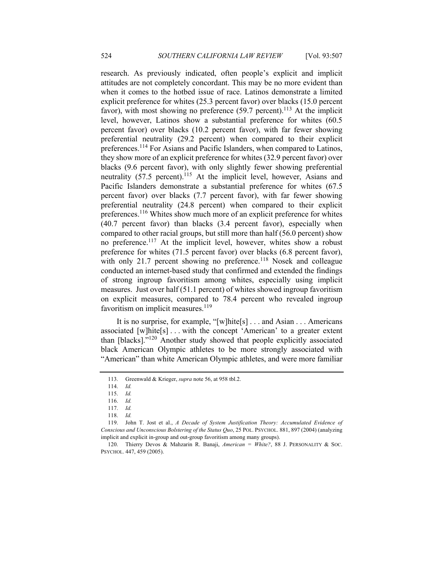research. As previously indicated, often people's explicit and implicit attitudes are not completely concordant. This may be no more evident than when it comes to the hotbed issue of race. Latinos demonstrate a limited explicit preference for whites (25.3 percent favor) over blacks (15.0 percent favor), with most showing no preference  $(59.7 \text{ percent})$ .<sup>113</sup> At the implicit level, however, Latinos show a substantial preference for whites (60.5 percent favor) over blacks (10.2 percent favor), with far fewer showing preferential neutrality (29.2 percent) when compared to their explicit preferences.<sup>114</sup> For Asians and Pacific Islanders, when compared to Latinos, they show more of an explicit preference for whites (32.9 percent favor) over blacks (9.6 percent favor), with only slightly fewer showing preferential neutrality (57.5 percent).<sup>115</sup> At the implicit level, however, Asians and Pacific Islanders demonstrate a substantial preference for whites (67.5 percent favor) over blacks (7.7 percent favor), with far fewer showing preferential neutrality (24.8 percent) when compared to their explicit preferences.<sup>116</sup> Whites show much more of an explicit preference for whites (40.7 percent favor) than blacks (3.4 percent favor), especially when compared to other racial groups, but still more than half (56.0 percent) show no preference.117 At the implicit level, however, whites show a robust preference for whites (71.5 percent favor) over blacks (6.8 percent favor), with only 21.7 percent showing no preference.<sup>118</sup> Nosek and colleague conducted an internet-based study that confirmed and extended the findings of strong ingroup favoritism among whites, especially using implicit measures. Just over half (51.1 percent) of whites showed ingroup favoritism on explicit measures, compared to 78.4 percent who revealed ingroup favoritism on implicit measures. $119$ 

It is no surprise, for example, "[w]hite[s] . . . and Asian . . . Americans associated  $[w]hite[s] \ldots$  with the concept 'American' to a greater extent than [blacks]."120 Another study showed that people explicitly associated black American Olympic athletes to be more strongly associated with "American" than white American Olympic athletes, and were more familiar

<sup>113.</sup> Greenwald & Krieger, *supra* note 56, at 958 tbl.2.

<sup>114.</sup> *Id.*

<sup>115.</sup> *Id.*

<sup>116.</sup> *Id.*

<sup>117.</sup> *Id.*

<sup>118.</sup> *Id.*

<sup>119.</sup> John T. Jost et al., *A Decade of System Justification Theory: Accumulated Evidence of Conscious and Unconscious Bolstering of the Status Quo*, 25 POL. PSYCHOL. 881, 897 (2004) (analyzing implicit and explicit in-group and out-group favoritism among many groups).

<sup>120.</sup> Thierry Devos & Mahzarin R. Banaji, *American = White?*, 88 J. PERSONALITY & SOC. PSYCHOL. 447, 459 (2005).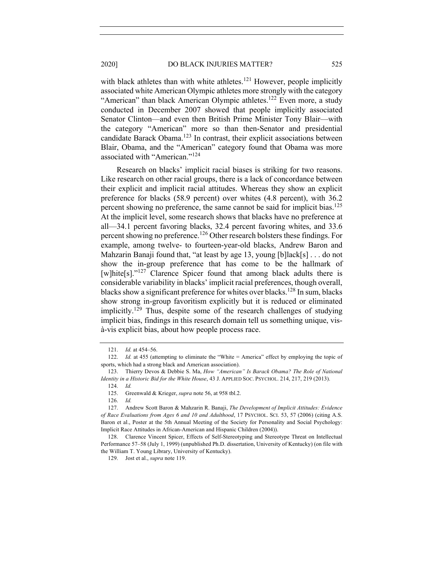with black athletes than with white athletes.<sup>121</sup> However, people implicitly associated white American Olympic athletes more strongly with the category "American" than black American Olympic athletes.<sup>122</sup> Even more, a study conducted in December 2007 showed that people implicitly associated Senator Clinton—and even then British Prime Minister Tony Blair—with the category "American" more so than then-Senator and presidential candidate Barack Obama.<sup>123</sup> In contrast, their explicit associations between Blair, Obama, and the "American" category found that Obama was more associated with "American."<sup>124</sup>

Research on blacks' implicit racial biases is striking for two reasons. Like research on other racial groups, there is a lack of concordance between their explicit and implicit racial attitudes. Whereas they show an explicit preference for blacks (58.9 percent) over whites (4.8 percent), with 36.2 percent showing no preference, the same cannot be said for implicit bias.<sup>125</sup> At the implicit level, some research shows that blacks have no preference at all—34.1 percent favoring blacks, 32.4 percent favoring whites, and 33.6 percent showing no preference.<sup>126</sup> Other research bolsters these findings. For example, among twelve- to fourteen-year-old blacks, Andrew Baron and Mahzarin Banaji found that, "at least by age 13, young [b]lack[s] . . . do not show the in-group preference that has come to be the hallmark of [w]hite[s]."<sup>127</sup> Clarence Spicer found that among black adults there is considerable variability in blacks' implicit racial preferences, though overall, blacks show a significant preference for whites over blacks.<sup>128</sup> In sum, blacks show strong in-group favoritism explicitly but it is reduced or eliminated implicitly.<sup>129</sup> Thus, despite some of the research challenges of studying implicit bias, findings in this research domain tell us something unique, visà-vis explicit bias, about how people process race.

<sup>121.</sup> *Id.* at 454–56.

<sup>122.</sup> *Id.* at 455 (attempting to eliminate the "White = America" effect by employing the topic of sports, which had a strong black and American association).

<sup>123.</sup> Thierry Devos & Debbie S. Ma, *How "American" Is Barack Obama? The Role of National Identity in a Historic Bid for the White House*, 43 J. APPLIED SOC. PSYCHOL. 214, 217, 219 (2013). 124. *Id.*

<sup>125.</sup> Greenwald & Krieger, *supra* note 56, at 958 tbl.2.

<sup>126.</sup> *Id.*

<sup>127.</sup> Andrew Scott Baron & Mahzarin R. Banaji, *The Development of Implicit Attitudes: Evidence of Race Evaluations from Ages 6 and 10 and Adulthood*, 17 PSYCHOL. SCI. 53, 57 (2006) (citing A.S. Baron et al., Poster at the 5th Annual Meeting of the Society for Personality and Social Psychology: Implicit Race Attitudes in African-American and Hispanic Children (2004)).

<sup>128.</sup> Clarence Vincent Spicer, Effects of Self-Stereotyping and Stereotype Threat on Intellectual Performance 57–58 (July 1, 1999) (unpublished Ph.D. dissertation, University of Kentucky) (on file with the William T. Young Library, University of Kentucky).

<sup>129.</sup> Jost et al., *supra* note 119.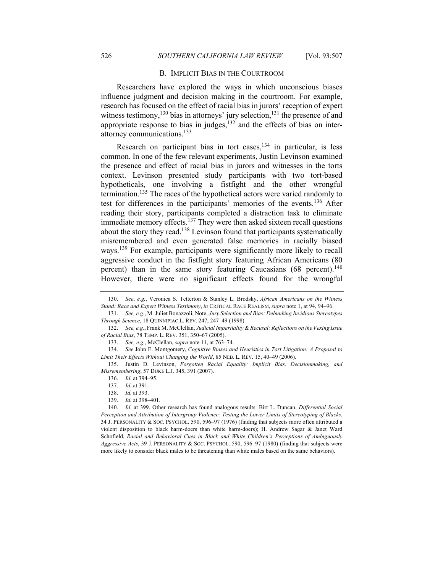#### B. IMPLICIT BIAS IN THE COURTROOM

Researchers have explored the ways in which unconscious biases influence judgment and decision making in the courtroom. For example, research has focused on the effect of racial bias in jurors' reception of expert witness testimony,<sup>130</sup> bias in attorneys' jury selection,<sup>131</sup> the presence of and appropriate response to bias in judges, $132$  and the effects of bias on interattorney communications.133

Research on participant bias in tort cases,<sup>134</sup> in particular, is less common. In one of the few relevant experiments, Justin Levinson examined the presence and effect of racial bias in jurors and witnesses in the torts context. Levinson presented study participants with two tort-based hypotheticals, one involving a fistfight and the other wrongful termination.<sup>135</sup> The races of the hypothetical actors were varied randomly to test for differences in the participants' memories of the events.<sup>136</sup> After reading their story, participants completed a distraction task to eliminate immediate memory effects. $137$  They were then asked sixteen recall questions about the story they read.<sup>138</sup> Levinson found that participants systematically misremembered and even generated false memories in racially biased ways.<sup>139</sup> For example, participants were significantly more likely to recall aggressive conduct in the fistfight story featuring African Americans (80 percent) than in the same story featuring Caucasians  $(68 \text{ percent})$ .<sup>140</sup> However, there were no significant effects found for the wrongful

133. *See, e.g.*, McClellan, *supra* note 11, at 763–74.

<sup>130.</sup> *See*, *e.g.*, Veronica S. Tetterton & Stanley L. Brodsky, *African Americans on the Witness Stand: Race and Expert Witness Testimony*, *in* CRITICAL RACE REALISM, *supra* note 1, at 94, 94–96.

<sup>131.</sup> *See, e.g.*, M. Juliet Bonazzoli, Note, *Jury Selection and Bias: Debunking Invidious Stereotypes Through Science*, 18 QUINNIPIAC L. REV. 247, 247–49 (1998).

<sup>132.</sup> *See, e.g.*, Frank M. McClellan, *Judicial Impartiality & Recusal: Reflections on the Vexing Issue of Racial Bias*, 78 TEMP. L. REV. 351, 350–67 (2005).

<sup>134.</sup> *See* John E. Montgomery, *Cognitive Biases and Heuristics in Tort Litigation: A Proposal to Limit Their Effects Without Changing the World*, 85 NEB. L. REV. 15, 40–49 (2006).

<sup>135.</sup> Justin D. Levinson, *Forgotten Racial Equality: Implicit Bias, Decisionmaking, and Misremembering*, 57 DUKE L.J. 345, 391 (2007).

<sup>136.</sup> *Id.* at 394–95.

<sup>137.</sup> *Id.* at 391.

<sup>138.</sup> *Id.* at 393.

<sup>139.</sup> *Id.* at 398–401.

<sup>140.</sup> *Id.* at 399. Other research has found analogous results. Birt L. Duncan, *Differential Social Perception and Attribution of Intergroup Violence: Testing the Lower Limits of Stereotyping of Blacks*, 34 J. PERSONALITY & SOC. PSYCHOL. 590, 596–97 (1976) (finding that subjects more often attributed a violent disposition to black harm-doers than white harm-doers); H. Andrew Sagar & Janet Ward Schofield, *Racial and Behavioral Cues in Black and White Children's Perceptions of Ambiguously Aggressive Acts*, 39 J. PERSONALITY & SOC. PSYCHOL. 590, 596–97 (1980) (finding that subjects were more likely to consider black males to be threatening than white males based on the same behaviors).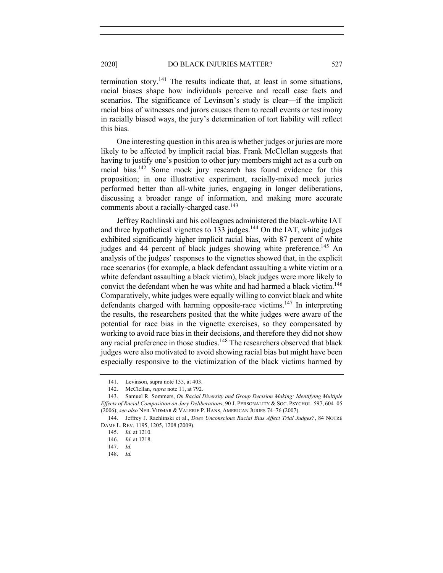termination story.<sup>141</sup> The results indicate that, at least in some situations, racial biases shape how individuals perceive and recall case facts and scenarios. The significance of Levinson's study is clear—if the implicit racial bias of witnesses and jurors causes them to recall events or testimony in racially biased ways, the jury's determination of tort liability will reflect this bias.

One interesting question in this area is whether judges or juries are more likely to be affected by implicit racial bias. Frank McClellan suggests that having to justify one's position to other jury members might act as a curb on racial bias.142 Some mock jury research has found evidence for this proposition; in one illustrative experiment, racially-mixed mock juries performed better than all-white juries, engaging in longer deliberations, discussing a broader range of information, and making more accurate comments about a racially-charged case.<sup>143</sup>

Jeffrey Rachlinski and his colleagues administered the black-white IAT and three hypothetical vignettes to 133 judges.<sup>144</sup> On the IAT, white judges exhibited significantly higher implicit racial bias, with 87 percent of white judges and 44 percent of black judges showing white preference.<sup>145</sup> An analysis of the judges' responses to the vignettes showed that, in the explicit race scenarios (for example, a black defendant assaulting a white victim or a white defendant assaulting a black victim), black judges were more likely to convict the defendant when he was white and had harmed a black victim.<sup>146</sup> Comparatively, white judges were equally willing to convict black and white defendants charged with harming opposite-race victims.<sup>147</sup> In interpreting the results, the researchers posited that the white judges were aware of the potential for race bias in the vignette exercises, so they compensated by working to avoid race bias in their decisions, and therefore they did not show any racial preference in those studies.<sup>148</sup> The researchers observed that black judges were also motivated to avoid showing racial bias but might have been especially responsive to the victimization of the black victims harmed by

<sup>141.</sup> Levinson, supra note 135, at 403.

<sup>142.</sup> McClellan, *supra* note 11, at 792.

<sup>143.</sup> Samuel R. Sommers, *On Racial Diversity and Group Decision Making: Identifying Multiple Effects of Racial Composition on Jury Deliberations*, 90 J. PERSONALITY & SOC. PSYCHOL. 597, 604–05 (2006); *see also* NEIL VIDMAR & VALERIE P. HANS, AMERICAN JURIES 74–76 (2007).

<sup>144.</sup> Jeffrey J. Rachlinski et al., *Does Unconscious Racial Bias Affect Trial Judges?*, 84 NOTRE DAME L. REV. 1195, 1205, 1208 (2009).

<sup>145.</sup> *Id.* at 1210.

<sup>146.</sup> *Id.* at 1218.

<sup>147.</sup> *Id.*

<sup>148.</sup> *Id.*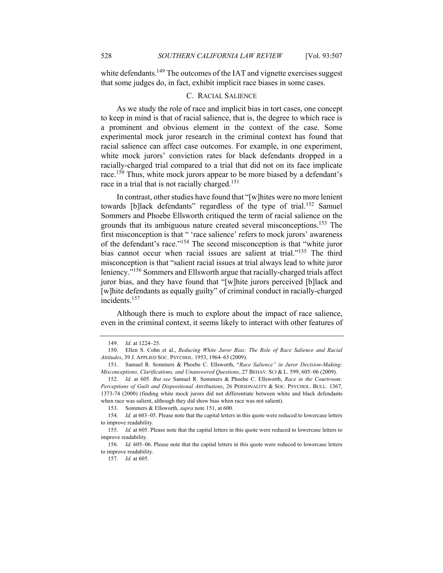that some judges do, in fact, exhibit implicit race biases in some cases.

# C. RACIAL SALIENCE

As we study the role of race and implicit bias in tort cases, one concept to keep in mind is that of racial salience, that is, the degree to which race is a prominent and obvious element in the context of the case. Some experimental mock juror research in the criminal context has found that racial salience can affect case outcomes. For example, in one experiment, white mock jurors' conviction rates for black defendants dropped in a racially-charged trial compared to a trial that did not on its face implicate race.<sup>150</sup> Thus, white mock jurors appear to be more biased by a defendant's race in a trial that is not racially charged.<sup>151</sup>

In contrast, other studies have found that "[w]hites were no more lenient towards [b]lack defendants" regardless of the type of trial.<sup>152</sup> Samuel Sommers and Phoebe Ellsworth critiqued the term of racial salience on the grounds that its ambiguous nature created several misconceptions.153 The first misconception is that " 'race salience' refers to mock jurors' awareness of the defendant's race."154 The second misconception is that "white juror bias cannot occur when racial issues are salient at trial."155 The third misconception is that "salient racial issues at trial always lead to white juror leniency."156 Sommers and Ellsworth argue that racially-charged trials affect juror bias, and they have found that "[w]hite jurors perceived [b]lack and [w]hite defendants as equally guilty" of criminal conduct in racially-charged incidents.<sup>157</sup>

Although there is much to explore about the impact of race salience, even in the criminal context, it seems likely to interact with other features of

<sup>149.</sup> *Id*. at 1224–25.

<sup>150.</sup> Ellen S. Cohn et al., *Reducing White Juror Bias: The Role of Race Salience and Racial Attitudes*, 39 J. APPLIED SOC. PSYCHOL. 1953, 1964–65 (2009).

<sup>151.</sup> Samuel R. Sommers & Phoebe C. Ellsworth, "*Race Salience" in Juror Decision-Making: Misconceptions, Clarifications, and Unanswered Questions*, 27 BEHAV. SCI & L. 599, 605–06 (2009).

<sup>152.</sup> *Id.* at 605. *But see* Samuel R. Sommers & Phoebe C. Ellsworth, *Race in the Courtroom: Perceptions of Guilt and Dispositional Attributions*, 26 PERSONALITY & SOC. PSYCHOL. BULL. 1367, 1373-74 (2000) (finding white mock jurors did not differentiate between white and black defendants when race was salient, although they did show bias when race was not salient).

<sup>153.</sup> Sommers & Ellsworth, *supra* note 151, at 600.

<sup>154.</sup> *Id.* at 603–05. Please note that the capital letters in this quote were reduced to lowercase letters to improve readability.

<sup>155.</sup> *Id.* at 605. Please note that the capital letters in this quote were reduced to lowercase letters to improve readability.

<sup>156.</sup> *Id.* 605–06. Please note that the capital letters in this quote were reduced to lowercase letters to improve readability.

<sup>157.</sup> *Id.* at 605.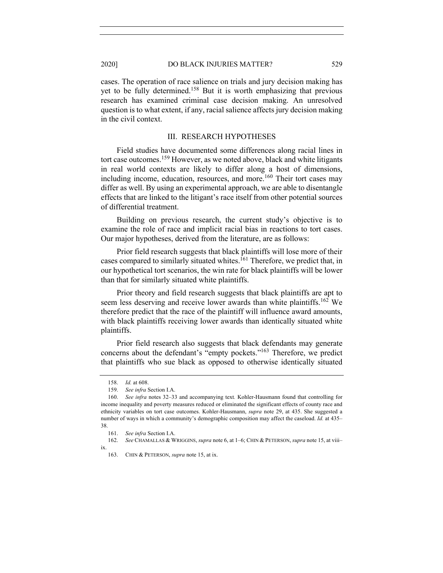#### 2020] DO BLACK INJURIES MATTER? 529

cases. The operation of race salience on trials and jury decision making has yet to be fully determined.158 But it is worth emphasizing that previous research has examined criminal case decision making. An unresolved question is to what extent, if any, racial salience affects jury decision making in the civil context.

# III. RESEARCH HYPOTHESES

Field studies have documented some differences along racial lines in tort case outcomes.<sup>159</sup> However, as we noted above, black and white litigants in real world contexts are likely to differ along a host of dimensions, including income, education, resources, and more. $160$  Their tort cases may differ as well. By using an experimental approach, we are able to disentangle effects that are linked to the litigant's race itself from other potential sources of differential treatment.

Building on previous research, the current study's objective is to examine the role of race and implicit racial bias in reactions to tort cases. Our major hypotheses, derived from the literature, are as follows:

Prior field research suggests that black plaintiffs will lose more of their cases compared to similarly situated whites.161 Therefore, we predict that, in our hypothetical tort scenarios, the win rate for black plaintiffs will be lower than that for similarly situated white plaintiffs.

Prior theory and field research suggests that black plaintiffs are apt to seem less deserving and receive lower awards than white plaintiffs.<sup>162</sup> We therefore predict that the race of the plaintiff will influence award amounts, with black plaintiffs receiving lower awards than identically situated white plaintiffs.

Prior field research also suggests that black defendants may generate concerns about the defendant's "empty pockets."163 Therefore, we predict that plaintiffs who sue black as opposed to otherwise identically situated

<sup>158.</sup> *Id.* at 608.

<sup>159.</sup> *See infra* Section I.A.

<sup>160.</sup> *See infra* notes 32–33 and accompanying text*.* Kohler-Hausmann found that controlling for income inequality and poverty measures reduced or eliminated the significant effects of county race and ethnicity variables on tort case outcomes. Kohler-Hausmann, *supra* note 29, at 435. She suggested a number of ways in which a community's demographic composition may affect the caseload. *Id.* at 435– 38.

<sup>161.</sup> *See infra* Section I.A.

<sup>162.</sup> *See* CHAMALLAS & WRIGGINS, *supra* note 6, at 1–6; CHIN & PETERSON, *supra* note 15, at viii– ix.

<sup>163.</sup> CHIN & PETERSON, *supra* note 15, at ix.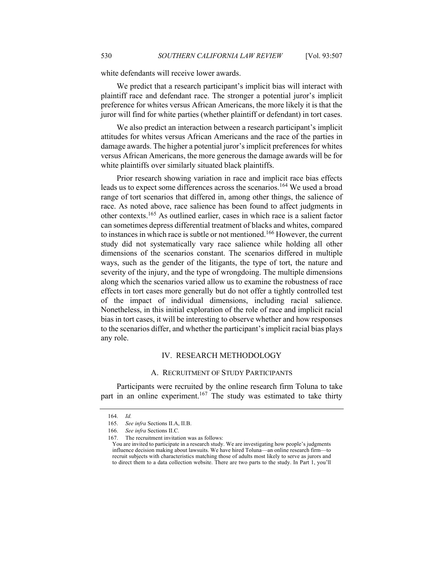white defendants will receive lower awards.

We predict that a research participant's implicit bias will interact with plaintiff race and defendant race. The stronger a potential juror's implicit preference for whites versus African Americans, the more likely it is that the juror will find for white parties (whether plaintiff or defendant) in tort cases.

We also predict an interaction between a research participant's implicit attitudes for whites versus African Americans and the race of the parties in damage awards. The higher a potential juror's implicit preferences for whites versus African Americans, the more generous the damage awards will be for white plaintiffs over similarly situated black plaintiffs.

Prior research showing variation in race and implicit race bias effects leads us to expect some differences across the scenarios.<sup>164</sup> We used a broad range of tort scenarios that differed in, among other things, the salience of race. As noted above, race salience has been found to affect judgments in other contexts.<sup>165</sup> As outlined earlier, cases in which race is a salient factor can sometimes depress differential treatment of blacks and whites, compared to instances in which race is subtle or not mentioned.<sup>166</sup> However, the current study did not systematically vary race salience while holding all other dimensions of the scenarios constant. The scenarios differed in multiple ways, such as the gender of the litigants, the type of tort, the nature and severity of the injury, and the type of wrongdoing. The multiple dimensions along which the scenarios varied allow us to examine the robustness of race effects in tort cases more generally but do not offer a tightly controlled test of the impact of individual dimensions, including racial salience. Nonetheless, in this initial exploration of the role of race and implicit racial bias in tort cases, it will be interesting to observe whether and how responses to the scenarios differ, and whether the participant's implicit racial bias plays any role.

#### IV. RESEARCH METHODOLOGY

#### A. RECRUITMENT OF STUDY PARTICIPANTS

Participants were recruited by the online research firm Toluna to take part in an online experiment.<sup>167</sup> The study was estimated to take thirty

<sup>164.</sup> *Id.*

<sup>165.</sup> *See infra* Sections II.A, II.B.

<sup>166.</sup> *See infra* Sections II.C.

<sup>167.</sup> The recruitment invitation was as follows:

You are invited to participate in a research study. We are investigating how people's judgments influence decision making about lawsuits. We have hired Toluna—an online research firm—to recruit subjects with characteristics matching those of adults most likely to serve as jurors and to direct them to a data collection website. There are two parts to the study. In Part 1, you'll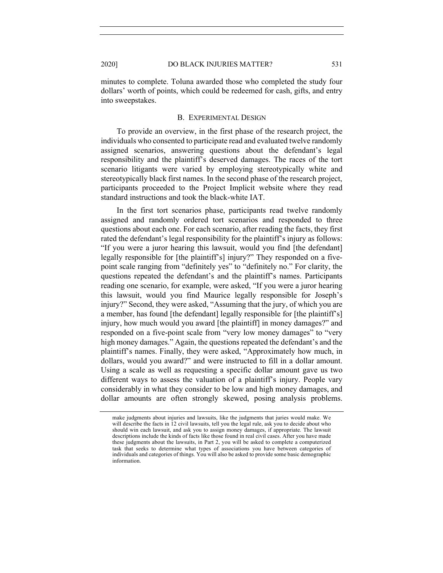minutes to complete. Toluna awarded those who completed the study four dollars' worth of points, which could be redeemed for cash, gifts, and entry into sweepstakes.

#### B. EXPERIMENTAL DESIGN

To provide an overview, in the first phase of the research project, the individuals who consented to participate read and evaluated twelve randomly assigned scenarios, answering questions about the defendant's legal responsibility and the plaintiff's deserved damages. The races of the tort scenario litigants were varied by employing stereotypically white and stereotypically black first names. In the second phase of the research project, participants proceeded to the Project Implicit website where they read standard instructions and took the black-white IAT.

In the first tort scenarios phase, participants read twelve randomly assigned and randomly ordered tort scenarios and responded to three questions about each one. For each scenario, after reading the facts, they first rated the defendant's legal responsibility for the plaintiff's injury as follows: "If you were a juror hearing this lawsuit, would you find [the defendant] legally responsible for [the plaintiff's] injury?" They responded on a fivepoint scale ranging from "definitely yes" to "definitely no." For clarity, the questions repeated the defendant's and the plaintiff's names. Participants reading one scenario, for example, were asked, "If you were a juror hearing this lawsuit, would you find Maurice legally responsible for Joseph's injury?" Second, they were asked, "Assuming that the jury, of which you are a member, has found [the defendant] legally responsible for [the plaintiff's] injury, how much would you award [the plaintiff] in money damages?" and responded on a five-point scale from "very low money damages" to "very high money damages." Again, the questions repeated the defendant's and the plaintiff's names. Finally, they were asked, "Approximately how much, in dollars, would you award?" and were instructed to fill in a dollar amount. Using a scale as well as requesting a specific dollar amount gave us two different ways to assess the valuation of a plaintiff's injury. People vary considerably in what they consider to be low and high money damages, and dollar amounts are often strongly skewed, posing analysis problems.

make judgments about injuries and lawsuits, like the judgments that juries would make. We will describe the facts in 12 civil lawsuits, tell you the legal rule, ask you to decide about who should win each lawsuit, and ask you to assign money damages, if appropriate. The lawsuit descriptions include the kinds of facts like those found in real civil cases. After you have made these judgments about the lawsuits, in Part 2, you will be asked to complete a computerized task that seeks to determine what types of associations you have between categories of individuals and categories of things. You will also be asked to provide some basic demographic information.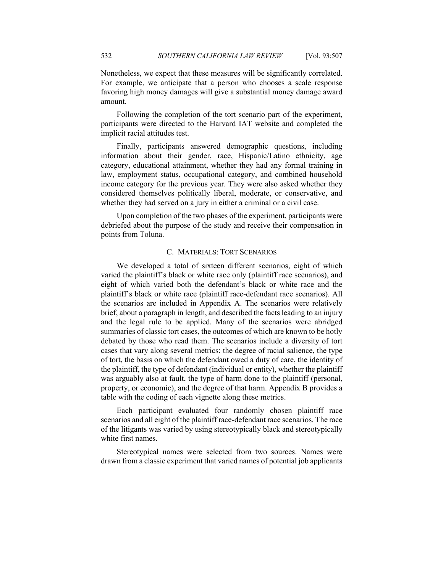Nonetheless, we expect that these measures will be significantly correlated. For example, we anticipate that a person who chooses a scale response favoring high money damages will give a substantial money damage award amount.

Following the completion of the tort scenario part of the experiment, participants were directed to the Harvard IAT website and completed the implicit racial attitudes test.

Finally, participants answered demographic questions, including information about their gender, race, Hispanic/Latino ethnicity, age category, educational attainment, whether they had any formal training in law, employment status, occupational category, and combined household income category for the previous year. They were also asked whether they considered themselves politically liberal, moderate, or conservative, and whether they had served on a jury in either a criminal or a civil case.

Upon completion of the two phases of the experiment, participants were debriefed about the purpose of the study and receive their compensation in points from Toluna.

### C. MATERIALS: TORT SCENARIOS

We developed a total of sixteen different scenarios, eight of which varied the plaintiff's black or white race only (plaintiff race scenarios), and eight of which varied both the defendant's black or white race and the plaintiff's black or white race (plaintiff race-defendant race scenarios). All the scenarios are included in Appendix A. The scenarios were relatively brief, about a paragraph in length, and described the facts leading to an injury and the legal rule to be applied. Many of the scenarios were abridged summaries of classic tort cases, the outcomes of which are known to be hotly debated by those who read them. The scenarios include a diversity of tort cases that vary along several metrics: the degree of racial salience, the type of tort, the basis on which the defendant owed a duty of care, the identity of the plaintiff, the type of defendant (individual or entity), whether the plaintiff was arguably also at fault, the type of harm done to the plaintiff (personal, property, or economic), and the degree of that harm. Appendix B provides a table with the coding of each vignette along these metrics.

Each participant evaluated four randomly chosen plaintiff race scenarios and all eight of the plaintiff race-defendant race scenarios. The race of the litigants was varied by using stereotypically black and stereotypically white first names.

Stereotypical names were selected from two sources. Names were drawn from a classic experiment that varied names of potential job applicants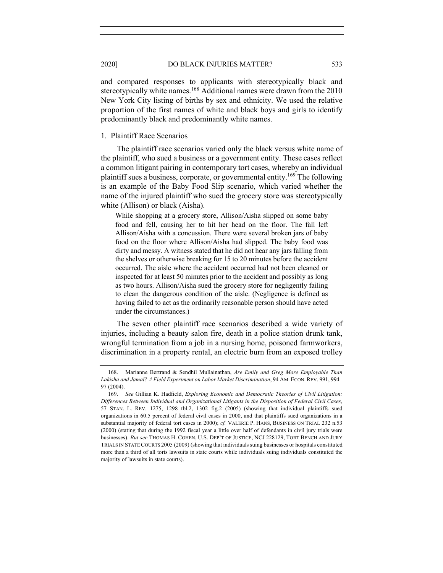#### 2020] DO BLACK INJURIES MATTER? 533

and compared responses to applicants with stereotypically black and stereotypically white names.<sup>168</sup> Additional names were drawn from the 2010 New York City listing of births by sex and ethnicity. We used the relative proportion of the first names of white and black boys and girls to identify predominantly black and predominantly white names.

# 1. Plaintiff Race Scenarios

The plaintiff race scenarios varied only the black versus white name of the plaintiff, who sued a business or a government entity. These cases reflect a common litigant pairing in contemporary tort cases, whereby an individual plaintiff sues a business, corporate, or governmental entity.<sup>169</sup> The following is an example of the Baby Food Slip scenario, which varied whether the name of the injured plaintiff who sued the grocery store was stereotypically white (Allison) or black (Aisha).

While shopping at a grocery store, Allison/Aisha slipped on some baby food and fell, causing her to hit her head on the floor. The fall left Allison/Aisha with a concussion. There were several broken jars of baby food on the floor where Allison/Aisha had slipped. The baby food was dirty and messy. A witness stated that he did not hear any jars falling from the shelves or otherwise breaking for 15 to 20 minutes before the accident occurred. The aisle where the accident occurred had not been cleaned or inspected for at least 50 minutes prior to the accident and possibly as long as two hours. Allison/Aisha sued the grocery store for negligently failing to clean the dangerous condition of the aisle. (Negligence is defined as having failed to act as the ordinarily reasonable person should have acted under the circumstances.)

The seven other plaintiff race scenarios described a wide variety of injuries, including a beauty salon fire, death in a police station drunk tank, wrongful termination from a job in a nursing home, poisoned farmworkers, discrimination in a property rental, an electric burn from an exposed trolley

<sup>168.</sup> Marianne Bertrand & Sendhil Mullainathan, *Are Emily and Greg More Employable Than Lakisha and Jamal? A Field Experiment on Labor Market Discrimination*, 94 AM. ECON. REV. 991, 994– 97 (2004).

<sup>169.</sup> *See* Gillian K. Hadfield, *Exploring Economic and Democratic Theories of Civil Litigation: Differences Between Individual and Organizational Litigants in the Disposition of Federal Civil Cases*, 57 STAN. L. REV. 1275, 1298 tbl.2, 1302 fig.2 (2005) (showing that individual plaintiffs sued organizations in 60.5 percent of federal civil cases in 2000, and that plaintiffs sued organizations in a substantial majority of federal tort cases in 2000); *cf.* VALERIE P. HANS, BUSINESS ON TRIAL 232 n.53 (2000) (stating that during the 1992 fiscal year a little over half of defendants in civil jury trials were businesses). *But see* THOMAS H. COHEN, U.S. DEP'T OF JUSTICE, NCJ 228129, TORT BENCH AND JURY TRIALS IN STATE COURTS 2005 (2009) (showing that individuals suing businesses or hospitals constituted more than a third of all torts lawsuits in state courts while individuals suing individuals constituted the majority of lawsuits in state courts).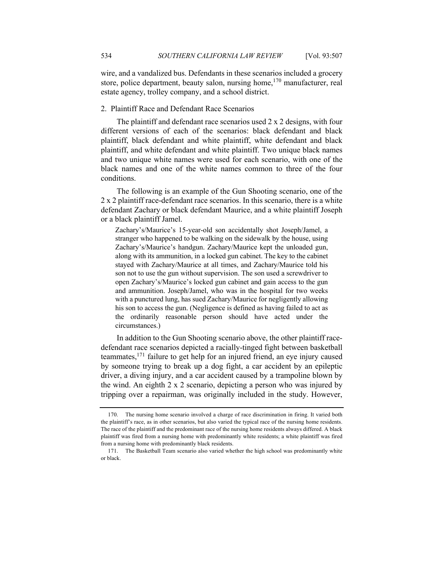wire, and a vandalized bus. Defendants in these scenarios included a grocery store, police department, beauty salon, nursing home,<sup>170</sup> manufacturer, real estate agency, trolley company, and a school district.

### 2. Plaintiff Race and Defendant Race Scenarios

The plaintiff and defendant race scenarios used 2 x 2 designs, with four different versions of each of the scenarios: black defendant and black plaintiff, black defendant and white plaintiff, white defendant and black plaintiff, and white defendant and white plaintiff. Two unique black names and two unique white names were used for each scenario, with one of the black names and one of the white names common to three of the four conditions.

The following is an example of the Gun Shooting scenario, one of the 2 x 2 plaintiff race-defendant race scenarios. In this scenario, there is a white defendant Zachary or black defendant Maurice, and a white plaintiff Joseph or a black plaintiff Jamel.

Zachary's/Maurice's 15-year-old son accidentally shot Joseph/Jamel, a stranger who happened to be walking on the sidewalk by the house, using Zachary's/Maurice's handgun. Zachary/Maurice kept the unloaded gun, along with its ammunition, in a locked gun cabinet. The key to the cabinet stayed with Zachary/Maurice at all times, and Zachary/Maurice told his son not to use the gun without supervision. The son used a screwdriver to open Zachary's/Maurice's locked gun cabinet and gain access to the gun and ammunition. Joseph/Jamel, who was in the hospital for two weeks with a punctured lung, has sued Zachary/Maurice for negligently allowing his son to access the gun. (Negligence is defined as having failed to act as the ordinarily reasonable person should have acted under the circumstances.)

In addition to the Gun Shooting scenario above, the other plaintiff racedefendant race scenarios depicted a racially-tinged fight between basketball teammates, $171$  failure to get help for an injured friend, an eye injury caused by someone trying to break up a dog fight, a car accident by an epileptic driver, a diving injury, and a car accident caused by a trampoline blown by the wind. An eighth 2 x 2 scenario, depicting a person who was injured by tripping over a repairman, was originally included in the study. However,

<sup>170.</sup> The nursing home scenario involved a charge of race discrimination in firing. It varied both the plaintiff's race, as in other scenarios, but also varied the typical race of the nursing home residents. The race of the plaintiff and the predominant race of the nursing home residents always differed. A black plaintiff was fired from a nursing home with predominantly white residents; a white plaintiff was fired from a nursing home with predominantly black residents.

<sup>171.</sup> The Basketball Team scenario also varied whether the high school was predominantly white or black.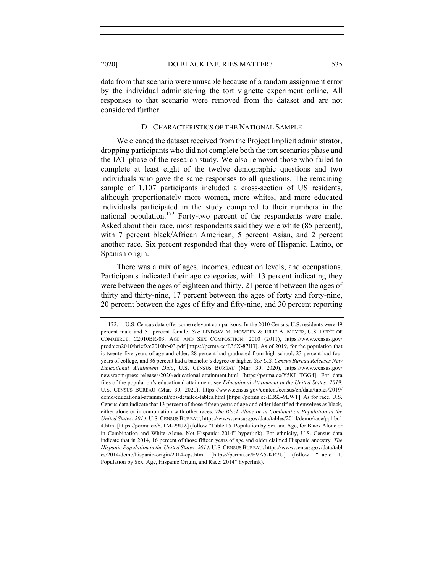data from that scenario were unusable because of a random assignment error by the individual administering the tort vignette experiment online. All responses to that scenario were removed from the dataset and are not considered further.

#### D. CHARACTERISTICS OF THE NATIONAL SAMPLE

We cleaned the dataset received from the Project Implicit administrator, dropping participants who did not complete both the tort scenarios phase and the IAT phase of the research study. We also removed those who failed to complete at least eight of the twelve demographic questions and two individuals who gave the same responses to all questions. The remaining sample of 1,107 participants included a cross-section of US residents, although proportionately more women, more whites, and more educated individuals participated in the study compared to their numbers in the national population.<sup>172</sup> Forty-two percent of the respondents were male. Asked about their race, most respondents said they were white (85 percent), with 7 percent black/African American, 5 percent Asian, and 2 percent another race. Six percent responded that they were of Hispanic, Latino, or Spanish origin.

There was a mix of ages, incomes, education levels, and occupations. Participants indicated their age categories, with 13 percent indicating they were between the ages of eighteen and thirty, 21 percent between the ages of thirty and thirty-nine, 17 percent between the ages of forty and forty-nine, 20 percent between the ages of fifty and fifty-nine, and 30 percent reporting

<sup>172.</sup> U.S. Census data offer some relevant comparisons. In the 2010 Census, U.S. residents were 49 percent male and 51 percent female. *See* LINDSAY M. HOWDEN & JULIE A. MEYER, U.S. DEP'T OF COMMERCE, C2010BR-03, AGE AND SEX COMPOSITION: 2010 (2011), https://www.census.gov/ prod/cen2010/briefs/c2010br-03.pdf [https://perma.cc/E36X-87H3]. As of 2019, for the population that is twenty-five years of age and older, 28 percent had graduated from high school, 23 percent had four years of college, and 36 percent had a bachelor's degree or higher. *See U.S. Census Bureau Releases New Educational Attainment Data*, U.S. CENSUS BUREAU (Mar. 30, 2020), https://www.census.gov/ newsroom/press-releases/2020/educational-attainment.html [https://perma.cc/Y5KL-TGG4]. For data files of the population's educational attainment, see *Educational Attainment in the United States: 2019*, U.S. CENSUS BUREAU (Mar. 30, 2020), https://www.census.gov/content/census/en/data/tables/2019/ demo/educational-attainment/cps-detailed-tables.html [https://perma.cc/EBS3-9LWT]. As for race, U.S. Census data indicate that 13 percent of those fifteen years of age and older identified themselves as black, either alone or in combination with other races. *The Black Alone or in Combination Population in the United States: 2014*, U.S.CENSUS BUREAU, https://www.census.gov/data/tables/2014/demo/race/ppl-bc1 4.html [https://perma.cc/8JTM-29UZ] (follow "Table 15. Population by Sex and Age, for Black Alone or in Combination and White Alone, Not Hispanic: 2014" hyperlink). For ethnicity, U.S. Census data indicate that in 2014, 16 percent of those fifteen years of age and older claimed Hispanic ancestry. *The Hispanic Population in the United States: 2014*, U.S. CENSUS BUREAU, https://www.census.gov/data/tabl es/2014/demo/hispanic-origin/2014-cps.html [https://perma.cc/FVA5-KR7U] (follow "Table 1. Population by Sex, Age, Hispanic Origin, and Race: 2014" hyperlink).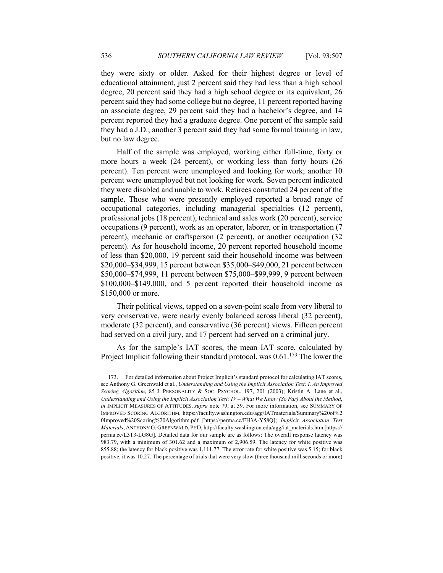they were sixty or older. Asked for their highest degree or level of educational attainment, just 2 percent said they had less than a high school degree, 20 percent said they had a high school degree or its equivalent, 26 percent said they had some college but no degree, 11 percent reported having an associate degree, 29 percent said they had a bachelor's degree, and 14 percent reported they had a graduate degree. One percent of the sample said they had a J.D.; another 3 percent said they had some formal training in law, but no law degree.

Half of the sample was employed, working either full-time, forty or more hours a week (24 percent), or working less than forty hours (26 percent). Ten percent were unemployed and looking for work; another 10 percent were unemployed but not looking for work. Seven percent indicated they were disabled and unable to work. Retirees constituted 24 percent of the sample. Those who were presently employed reported a broad range of occupational categories, including managerial specialties (12 percent), professional jobs (18 percent), technical and sales work (20 percent), service occupations (9 percent), work as an operator, laborer, or in transportation (7 percent), mechanic or craftsperson (2 percent), or another occupation (32 percent). As for household income, 20 percent reported household income of less than \$20,000, 19 percent said their household income was between \$20,000–\$34,999, 15 percent between \$35,000–\$49,000, 21 percent between \$50,000–\$74,999, 11 percent between \$75,000–\$99,999, 9 percent between \$100,000–\$149,000, and 5 percent reported their household income as \$150,000 or more.

Their political views, tapped on a seven-point scale from very liberal to very conservative, were nearly evenly balanced across liberal (32 percent), moderate (32 percent), and conservative (36 percent) views. Fifteen percent had served on a civil jury, and 17 percent had served on a criminal jury.

As for the sample's IAT scores, the mean IAT score, calculated by Project Implicit following their standard protocol, was  $0.61$ <sup>173</sup>. The lower the

<sup>173.</sup> For detailed information about Project Implicit's standard protocol for calculating IAT scores, see Anthony G. Greenwald et al., *Understanding and Using the Implicit Association Test: I. An Improved Scoring Algorithm*, 85 J. PERSONALITY & SOC. PSYCHOL. 197, 201 (2003); Kristin A. Lane et al., *Understanding and Using the Implicit Association Test: IV – What We Know (So Far) About the Method*, *in* IMPLICIT MEASURES OF ATTITUDES, *supra* note 79, at 59. For more information, see SUMMARY OF IMPROVED SCORING ALGORITHM, https://faculty.washington.edu/agg/IATmaterials/Summary%20of%2 0Improved%20Scoring%20Algorithm.pdf [https://perma.cc/FH3A-Y58Q]; *Implicit Association Test Materials*, ANTHONY G. GREENWALD, PHD, http://faculty.washington.edu/agg/iat\_materials.htm [https:// perma.cc/L3T3-LG8G]. Detailed data for our sample are as follows: The overall response latency was 983.79, with a minimum of 301.62 and a maximum of 2,906.59. The latency for white positive was 855.88; the latency for black positive was 1,111.77. The error rate for white positive was 5.15; for black positive, it was 10.27. The percentage of trials that were very slow (three thousand milliseconds or more)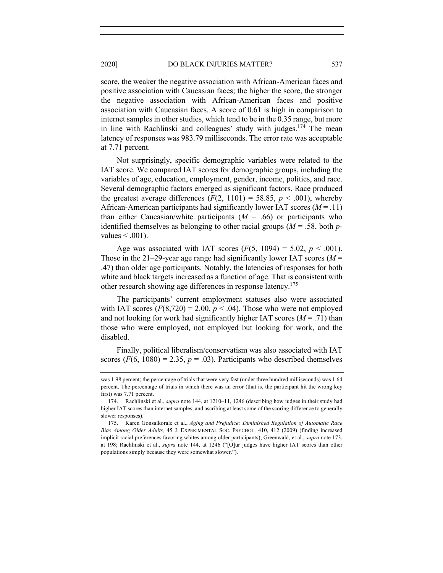score, the weaker the negative association with African-American faces and positive association with Caucasian faces; the higher the score, the stronger the negative association with African-American faces and positive association with Caucasian faces. A score of 0.61 is high in comparison to internet samples in other studies, which tend to be in the 0.35 range, but more in line with Rachlinski and colleagues' study with judges.<sup>174</sup> The mean latency of responses was 983.79 milliseconds. The error rate was acceptable at 7.71 percent.

Not surprisingly, specific demographic variables were related to the IAT score. We compared IAT scores for demographic groups, including the variables of age, education, employment, gender, income, politics, and race. Several demographic factors emerged as significant factors. Race produced the greatest average differences  $(F(2, 1101) = 58.85, p \le .001)$ , whereby African-American participants had significantly lower IAT scores (*M* = .11) than either Caucasian/white participants  $(M = .66)$  or participants who identified themselves as belonging to other racial groups (*M* = .58, both *p*values  $< .001$ ).

Age was associated with IAT scores  $(F(5, 1094) = 5.02, p < .001)$ . Those in the 21–29-year age range had significantly lower IAT scores (*M* = .47) than older age participants. Notably, the latencies of responses for both white and black targets increased as a function of age. That is consistent with other research showing age differences in response latency.175

The participants' current employment statuses also were associated with IAT scores  $(F(8,720) = 2.00, p < .04)$ . Those who were not employed and not looking for work had significantly higher IAT scores  $(M = .71)$  than those who were employed, not employed but looking for work, and the disabled.

Finally, political liberalism/conservatism was also associated with IAT scores  $(F(6, 1080) = 2.35, p = .03)$ . Participants who described themselves

was 1.98 percent; the percentage of trials that were very fast (under three hundred milliseconds) was 1.64 percent. The percentage of trials in which there was an error (that is, the participant hit the wrong key first) was 7.71 percent.

<sup>174.</sup> Rachlinski et al., *supra* note 144, at 1210–11, 1246 (describing how judges in their study had higher IAT scores than internet samples, and ascribing at least some of the scoring difference to generally slower responses).

<sup>175.</sup> Karen Gonsalkorale et al., *Aging and Prejudice: Diminished Regulation of Automatic Race Bias Among Older Adults,* 45 J. EXPERIMENTAL SOC. PSYCHOL. 410, 412 (2009) (finding increased implicit racial preferences favoring whites among older participants); Greenwald, et al., *supra* note 173, at 198; Rachlinski et al., *supra* note 144, at 1246 ("[O]ur judges have higher IAT scores than other populations simply because they were somewhat slower.").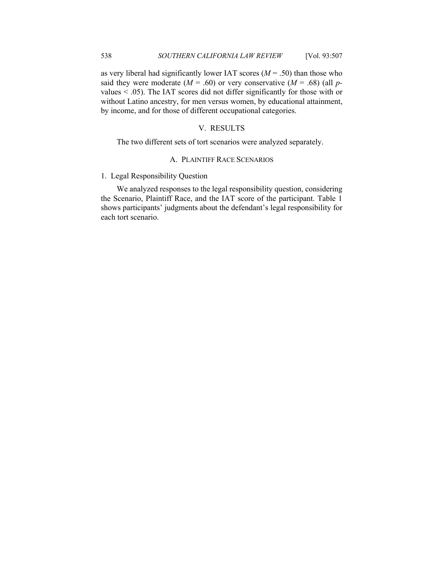as very liberal had significantly lower IAT scores  $(M = .50)$  than those who said they were moderate  $(M = .60)$  or very conservative  $(M = .68)$  (all *p*values < .05). The IAT scores did not differ significantly for those with or without Latino ancestry, for men versus women, by educational attainment, by income, and for those of different occupational categories.

# V. RESULTS

The two different sets of tort scenarios were analyzed separately.

# A. PLAINTIFF RACE SCENARIOS

# 1. Legal Responsibility Question

We analyzed responses to the legal responsibility question, considering the Scenario, Plaintiff Race, and the IAT score of the participant. Table 1 shows participants' judgments about the defendant's legal responsibility for each tort scenario.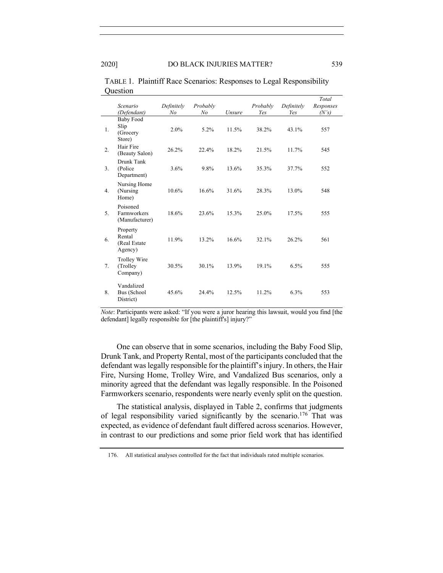|    | zucstion                                       |                              |                |        |                 |                   |                             |
|----|------------------------------------------------|------------------------------|----------------|--------|-----------------|-------------------|-----------------------------|
|    | Scenario<br>(Defendant)                        | Definitely<br>N <sub>o</sub> | Probably<br>No | Unsure | Probably<br>Yes | Definitely<br>Yes | Total<br>Responses<br>(N's) |
| 1. | <b>Baby Food</b><br>Slip<br>(Grocery<br>Store) | 2.0%                         | 5.2%           | 11.5%  | 38.2%           | 43.1%             | 557                         |
| 2. | Hair Fire<br>(Beauty Salon)                    | 26.2%                        | 22.4%          | 18.2%  | 21.5%           | 11.7%             | 545                         |
| 3. | Drunk Tank<br>(Police)<br>Department)          | 3.6%                         | 9.8%           | 13.6%  | 35.3%           | 37.7%             | 552                         |
| 4. | Nursing Home<br>(Nursing)<br>Home)             | 10.6%                        | 16.6%          | 31.6%  | 28.3%           | 13.0%             | 548                         |
| 5. | Poisoned<br>Farmworkers<br>(Manufacturer)      | 18.6%                        | 23.6%          | 15.3%  | 25.0%           | 17.5%             | 555                         |
| 6. | Property<br>Rental<br>(Real Estate<br>Agency)  | 11.9%                        | 13.2%          | 16.6%  | 32.1%           | 26.2%             | 561                         |
| 7. | Trolley Wire<br>(Trolley)<br>Company)          | 30.5%                        | 30.1%          | 13.9%  | 19.1%           | 6.5%              | 555                         |
| 8. | Vandalized<br>Bus (School<br>District)         | 45.6%                        | 24.4%          | 12.5%  | 11.2%           | 6.3%              | 553                         |

TABLE 1. Plaintiff Race Scenarios: Responses to Legal Responsibility Question

*Note*: Participants were asked: "If you were a juror hearing this lawsuit, would you find [the defendant] legally responsible for [the plaintiff's] injury?"

One can observe that in some scenarios, including the Baby Food Slip, Drunk Tank, and Property Rental, most of the participants concluded that the defendant was legally responsible for the plaintiff's injury. In others, the Hair Fire, Nursing Home, Trolley Wire, and Vandalized Bus scenarios, only a minority agreed that the defendant was legally responsible. In the Poisoned Farmworkers scenario, respondents were nearly evenly split on the question.

The statistical analysis, displayed in Table 2, confirms that judgments of legal responsibility varied significantly by the scenario.<sup>176</sup> That was expected, as evidence of defendant fault differed across scenarios. However, in contrast to our predictions and some prior field work that has identified

<sup>176.</sup> All statistical analyses controlled for the fact that individuals rated multiple scenarios.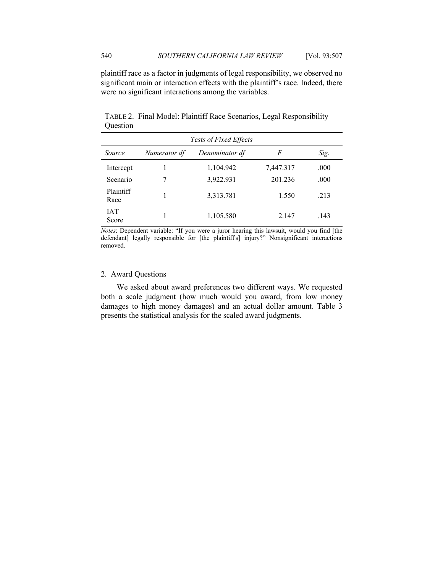plaintiff race as a factor in judgments of legal responsibility, we observed no significant main or interaction effects with the plaintiff's race. Indeed, there were no significant interactions among the variables.

| Tests of Fixed Effects |              |                |           |      |  |  |
|------------------------|--------------|----------------|-----------|------|--|--|
| Source                 | Numerator df | Denominator df | F         | Sig. |  |  |
| Intercept              |              | 1,104.942      | 7,447.317 | .000 |  |  |
| Scenario               | 7            | 3,922.931      | 201.236   | .000 |  |  |
| Plaintiff<br>Race      |              | 3,313.781      | 1.550     | .213 |  |  |
| <b>IAT</b><br>Score    |              | 1,105.580      | 2.147     | .143 |  |  |

TABLE 2. Final Model: Plaintiff Race Scenarios, Legal Responsibility **Ouestion** 

*Notes*: Dependent variable: "If you were a juror hearing this lawsuit, would you find [the defendant] legally responsible for [the plaintiff's] injury?" Nonsignificant interactions removed.

# 2. Award Questions

We asked about award preferences two different ways. We requested both a scale judgment (how much would you award, from low money damages to high money damages) and an actual dollar amount. Table 3 presents the statistical analysis for the scaled award judgments.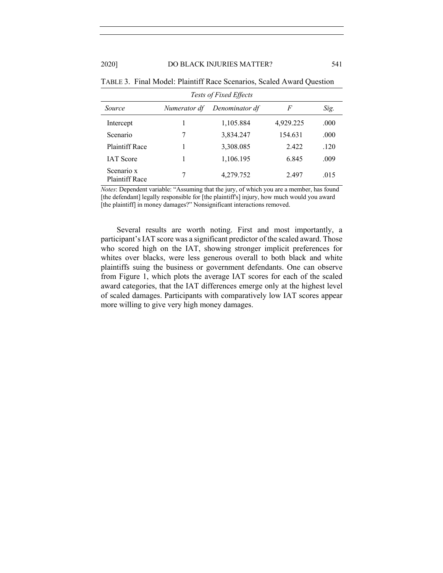#### 2020] DO BLACK INJURIES MATTER? 541

| <b>Tests of Fixed Effects</b>       |              |                |           |      |  |  |  |
|-------------------------------------|--------------|----------------|-----------|------|--|--|--|
| Source                              | Numerator df | Denominator df | F         | Sig. |  |  |  |
| Intercept                           |              | 1,105.884      | 4,929.225 | .000 |  |  |  |
| Scenario                            | 7            | 3,834.247      | 154.631   | .000 |  |  |  |
| <b>Plaintiff Race</b>               |              | 3,308.085      | 2.422     | .120 |  |  |  |
| <b>IAT</b> Score                    |              | 1,106.195      | 6.845     | .009 |  |  |  |
| Scenario x<br><b>Plaintiff Race</b> | 7            | 4,279.752      | 2.497     | .015 |  |  |  |

|  |  | TABLE 3. Final Model: Plaintiff Race Scenarios, Scaled Award Ouestion |  |  |  |  |
|--|--|-----------------------------------------------------------------------|--|--|--|--|
|--|--|-----------------------------------------------------------------------|--|--|--|--|

*Notes*: Dependent variable: "Assuming that the jury, of which you are a member, has found [the defendant] legally responsible for [the plaintiff's] injury, how much would you award [the plaintiff] in money damages?" Nonsignificant interactions removed.

Several results are worth noting. First and most importantly, a participant's IAT score was a significant predictor of the scaled award. Those who scored high on the IAT, showing stronger implicit preferences for whites over blacks, were less generous overall to both black and white plaintiffs suing the business or government defendants. One can observe from Figure 1, which plots the average IAT scores for each of the scaled award categories, that the IAT differences emerge only at the highest level of scaled damages. Participants with comparatively low IAT scores appear more willing to give very high money damages.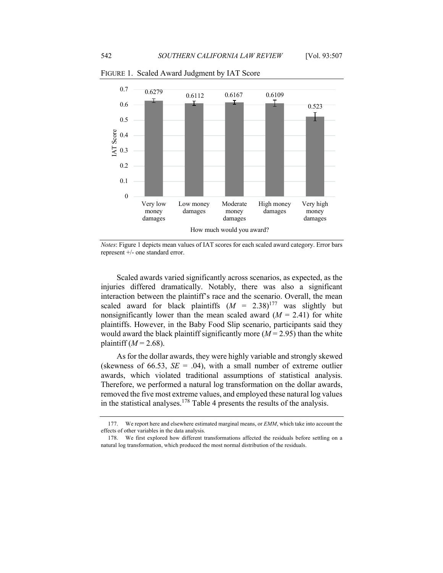

FIGURE 1. Scaled Award Judgment by IAT Score

*Notes*: Figure 1 depicts mean values of IAT scores for each scaled award category. Error bars represent +/- one standard error.

Scaled awards varied significantly across scenarios, as expected, as the injuries differed dramatically. Notably, there was also a significant interaction between the plaintiff's race and the scenario. Overall, the mean scaled award for black plaintiffs  $(M = 2.38)^{177}$  was slightly but nonsignificantly lower than the mean scaled award  $(M = 2.41)$  for white plaintiffs. However, in the Baby Food Slip scenario, participants said they would award the black plaintiff significantly more  $(M = 2.95)$  than the white plaintiff  $(M = 2.68)$ .

As for the dollar awards, they were highly variable and strongly skewed (skewness of 66.53,  $SE = .04$ ), with a small number of extreme outlier awards, which violated traditional assumptions of statistical analysis. Therefore, we performed a natural log transformation on the dollar awards, removed the five most extreme values, and employed these natural log values in the statistical analyses.<sup>178</sup> Table 4 presents the results of the analysis.

<sup>177.</sup> We report here and elsewhere estimated marginal means, or *EMM*, which take into account the effects of other variables in the data analysis.

<sup>178.</sup> We first explored how different transformations affected the residuals before settling on a natural log transformation, which produced the most normal distribution of the residuals.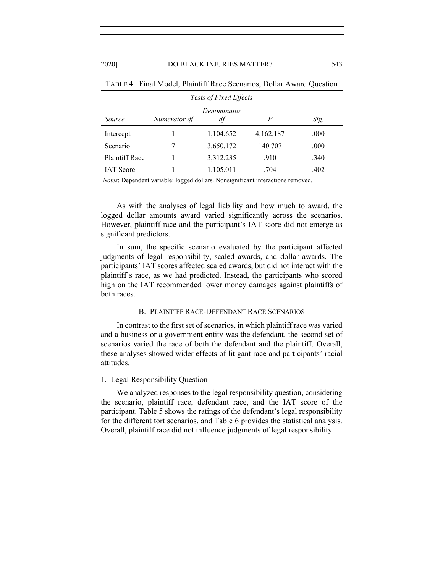| <b>Tests of Fixed Effects</b>                            |  |           |           |      |  |  |
|----------------------------------------------------------|--|-----------|-----------|------|--|--|
| Denominator<br>df<br>Numerator df<br>F<br>Sig.<br>Source |  |           |           |      |  |  |
| Intercept                                                |  | 1,104.652 | 4,162.187 | .000 |  |  |
| Scenario                                                 |  | 3,650.172 | 140.707   | .000 |  |  |
| Plaintiff Race                                           |  | 3,312.235 | .910      | .340 |  |  |
| <b>IAT</b> Score                                         |  | 1,105.011 | .704      | .402 |  |  |

TABLE 4. Final Model, Plaintiff Race Scenarios, Dollar Award Question

*Notes*: Dependent variable: logged dollars. Nonsignificant interactions removed.

As with the analyses of legal liability and how much to award, the logged dollar amounts award varied significantly across the scenarios. However, plaintiff race and the participant's IAT score did not emerge as significant predictors.

In sum, the specific scenario evaluated by the participant affected judgments of legal responsibility, scaled awards, and dollar awards. The participants' IAT scores affected scaled awards, but did not interact with the plaintiff's race, as we had predicted. Instead, the participants who scored high on the IAT recommended lower money damages against plaintiffs of both races.

#### B. PLAINTIFF RACE-DEFENDANT RACE SCENARIOS

In contrast to the first set of scenarios, in which plaintiff race was varied and a business or a government entity was the defendant, the second set of scenarios varied the race of both the defendant and the plaintiff. Overall, these analyses showed wider effects of litigant race and participants' racial attitudes.

#### 1. Legal Responsibility Question

We analyzed responses to the legal responsibility question, considering the scenario, plaintiff race, defendant race, and the IAT score of the participant. Table 5 shows the ratings of the defendant's legal responsibility for the different tort scenarios, and Table 6 provides the statistical analysis. Overall, plaintiff race did not influence judgments of legal responsibility.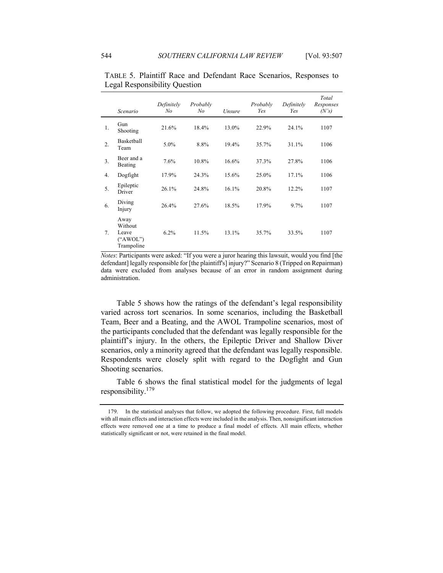|    | Scenario                                           | Definitely<br>No | Probably<br>No | Unsure | Probably<br>Yes | Definitely<br>Yes | Total<br>Responses<br>(N's) |
|----|----------------------------------------------------|------------------|----------------|--------|-----------------|-------------------|-----------------------------|
| 1. | Gun<br>Shooting                                    | 21.6%            | 18.4%          | 13.0%  | 22.9%           | 24.1%             | 1107                        |
| 2. | <b>Basketball</b><br>Team                          | 5.0%             | 8.8%           | 19.4%  | 35.7%           | 31.1%             | 1106                        |
| 3. | Beer and a<br>Beating                              | 7.6%             | 10.8%          | 16.6%  | 37.3%           | 27.8%             | 1106                        |
| 4. | Dogfight                                           | 17.9%            | 24.3%          | 15.6%  | 25.0%           | 17.1%             | 1106                        |
| 5. | Epileptic<br>Driver                                | 26.1%            | 24.8%          | 16.1%  | 20.8%           | 12.2%             | 1107                        |
| 6. | Diving<br>Injury                                   | 26.4%            | 27.6%          | 18.5%  | 17.9%           | 9.7%              | 1107                        |
| 7. | Away<br>Without<br>Leave<br>("AWOL")<br>Trampoline | 6.2%             | 11.5%          | 13.1%  | 35.7%           | 33.5%             | 1107                        |

TABLE 5.Plaintiff Race and Defendant Race Scenarios, Responses to Legal Responsibility Question

*Notes*: Participants were asked: "If you were a juror hearing this lawsuit, would you find [the defendant] legally responsible for [the plaintiff's] injury?" Scenario 8 (Tripped on Repairman) data were excluded from analyses because of an error in random assignment during administration.

Table 5 shows how the ratings of the defendant's legal responsibility varied across tort scenarios. In some scenarios, including the Basketball Team, Beer and a Beating, and the AWOL Trampoline scenarios, most of the participants concluded that the defendant was legally responsible for the plaintiff's injury. In the others, the Epileptic Driver and Shallow Diver scenarios, only a minority agreed that the defendant was legally responsible. Respondents were closely split with regard to the Dogfight and Gun Shooting scenarios.

Table 6 shows the final statistical model for the judgments of legal responsibility.<sup>179</sup>

<sup>179.</sup> In the statistical analyses that follow, we adopted the following procedure. First, full models with all main effects and interaction effects were included in the analysis. Then, nonsignificant interaction effects were removed one at a time to produce a final model of effects. All main effects, whether statistically significant or not, were retained in the final model.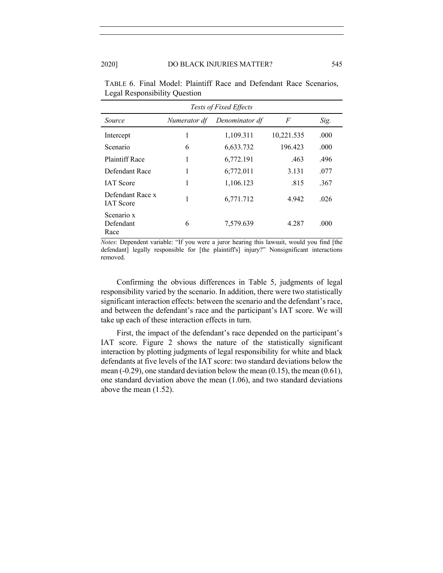| <b>Tests of Fixed Effects</b>        |              |                |            |      |  |  |  |
|--------------------------------------|--------------|----------------|------------|------|--|--|--|
| Source                               | Numerator df | Denominator df | F          | Sig. |  |  |  |
| Intercept                            | 1            | 1,109.311      | 10,221.535 | .000 |  |  |  |
| Scenario                             | 6            | 6,633.732      | 196.423    | .000 |  |  |  |
| Plaintiff Race                       | 1            | 6,772.191      | .463       | .496 |  |  |  |
| Defendant Race                       | 1            | 6:772.011      | 3.131      | .077 |  |  |  |
| <b>IAT</b> Score                     | 1            | 1,106.123      | .815       | .367 |  |  |  |
| Defendant Race x<br><b>IAT</b> Score | 1            | 6,771.712      | 4.942      | .026 |  |  |  |
| Scenario x<br>Defendant<br>Race      | 6            | 7,579.639      | 4.287      | .000 |  |  |  |

TABLE 6. Final Model: Plaintiff Race and Defendant Race Scenarios, Legal Responsibility Question

*Notes*: Dependent variable: "If you were a juror hearing this lawsuit, would you find [the defendant] legally responsible for [the plaintiff's] injury?" Nonsignificant interactions removed.

Confirming the obvious differences in Table 5, judgments of legal responsibility varied by the scenario. In addition, there were two statistically significant interaction effects: between the scenario and the defendant's race, and between the defendant's race and the participant's IAT score. We will take up each of these interaction effects in turn.

First, the impact of the defendant's race depended on the participant's IAT score. Figure 2 shows the nature of the statistically significant interaction by plotting judgments of legal responsibility for white and black defendants at five levels of the IAT score: two standard deviations below the mean  $(-0.29)$ , one standard deviation below the mean  $(0.15)$ , the mean  $(0.61)$ , one standard deviation above the mean (1.06), and two standard deviations above the mean (1.52).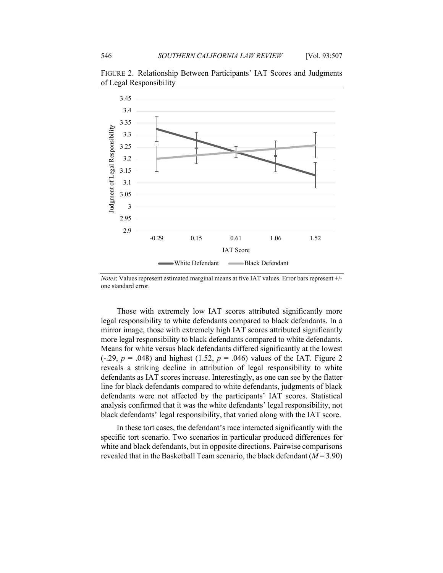

FIGURE 2. Relationship Between Participants' IAT Scores and Judgments of Legal Responsibility

*Notes*: Values represent estimated marginal means at five IAT values. Error bars represent +/ one standard error.

Those with extremely low IAT scores attributed significantly more legal responsibility to white defendants compared to black defendants. In a mirror image, those with extremely high IAT scores attributed significantly more legal responsibility to black defendants compared to white defendants. Means for white versus black defendants differed significantly at the lowest  $(-.29, p = .048)$  and highest  $(1.52, p = .046)$  values of the IAT. Figure 2 reveals a striking decline in attribution of legal responsibility to white defendants as IAT scores increase. Interestingly, as one can see by the flatter line for black defendants compared to white defendants, judgments of black defendants were not affected by the participants' IAT scores. Statistical analysis confirmed that it was the white defendants' legal responsibility, not black defendants' legal responsibility, that varied along with the IAT score.

In these tort cases, the defendant's race interacted significantly with the specific tort scenario. Two scenarios in particular produced differences for white and black defendants, but in opposite directions. Pairwise comparisons revealed that in the Basketball Team scenario, the black defendant (*M* = 3.90)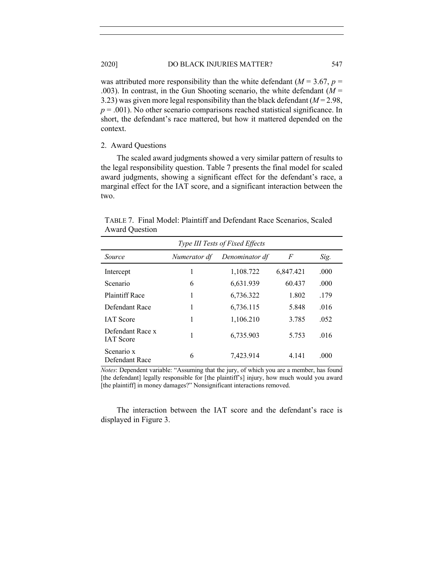was attributed more responsibility than the white defendant ( $M = 3.67$ ,  $p =$ .003). In contrast, in the Gun Shooting scenario, the white defendant (*M* = 3.23) was given more legal responsibility than the black defendant  $(M = 2.98$ ,  $p = .001$ ). No other scenario comparisons reached statistical significance. In short, the defendant's race mattered, but how it mattered depended on the context.

# 2. Award Questions

The scaled award judgments showed a very similar pattern of results to the legal responsibility question. Table 7 presents the final model for scaled award judgments, showing a significant effect for the defendant's race, a marginal effect for the IAT score, and a significant interaction between the two.

TABLE 7. Final Model: Plaintiff and Defendant Race Scenarios, Scaled Award Question

| Type III Tests of Fixed Effects      |              |                |           |      |  |  |
|--------------------------------------|--------------|----------------|-----------|------|--|--|
| Source                               | Numerator df | Denominator df | F         | Sig. |  |  |
| Intercept                            | 1            | 1,108.722      | 6,847.421 | .000 |  |  |
| Scenario                             | 6            | 6.631.939      | 60.437    | .000 |  |  |
| Plaintiff Race                       | 1            | 6,736.322      | 1.802     | .179 |  |  |
| Defendant Race                       |              | 6,736.115      | 5.848     | .016 |  |  |
| <b>IAT</b> Score                     | 1            | 1,106.210      | 3.785     | .052 |  |  |
| Defendant Race x<br><b>IAT</b> Score |              | 6,735.903      | 5.753     | .016 |  |  |
| Scenario x<br>Defendant Race         | 6            | 7.423.914      | 4.141     | .000 |  |  |

*Notes*: Dependent variable: "Assuming that the jury, of which you are a member, has found [the defendant] legally responsible for [the plaintiff's] injury, how much would you award [the plaintiff] in money damages?" Nonsignificant interactions removed.

The interaction between the IAT score and the defendant's race is displayed in Figure 3.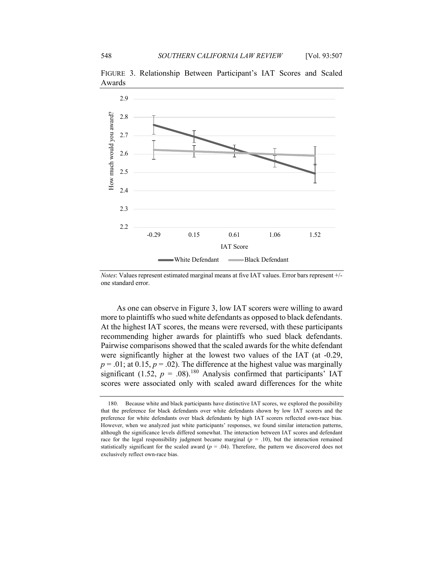

FIGURE 3. Relationship Between Participant's IAT Scores and Scaled Awards

*Notes*: Values represent estimated marginal means at five IAT values. Error bars represent +/ one standard error.

As one can observe in Figure 3, low IAT scorers were willing to award more to plaintiffs who sued white defendants as opposed to black defendants. At the highest IAT scores, the means were reversed, with these participants recommending higher awards for plaintiffs who sued black defendants. Pairwise comparisons showed that the scaled awards for the white defendant were significantly higher at the lowest two values of the IAT (at -0.29,  $p = .01$ ; at 0.15,  $p = .02$ ). The difference at the highest value was marginally significant (1.52,  $p = .08$ ).<sup>180</sup> Analysis confirmed that participants' IAT scores were associated only with scaled award differences for the white

<sup>180.</sup> Because white and black participants have distinctive IAT scores, we explored the possibility that the preference for black defendants over white defendants shown by low IAT scorers and the preference for white defendants over black defendants by high IAT scorers reflected own-race bias. However, when we analyzed just white participants' responses, we found similar interaction patterns, although the significance levels differed somewhat. The interaction between IAT scores and defendant race for the legal responsibility judgment became marginal  $(p = .10)$ , but the interaction remained statistically significant for the scaled award  $(p = .04)$ . Therefore, the pattern we discovered does not exclusively reflect own-race bias.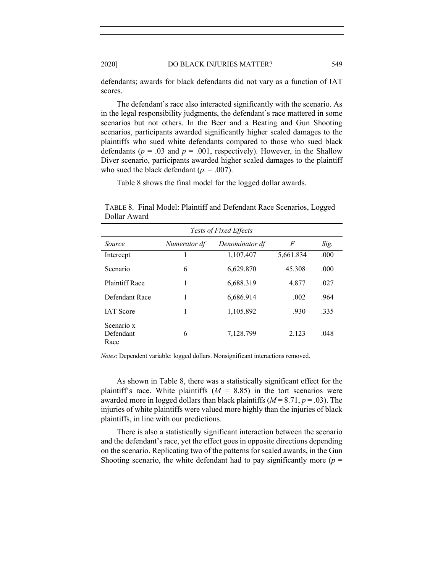defendants; awards for black defendants did not vary as a function of IAT scores.

The defendant's race also interacted significantly with the scenario. As in the legal responsibility judgments, the defendant's race mattered in some scenarios but not others. In the Beer and a Beating and Gun Shooting scenarios, participants awarded significantly higher scaled damages to the plaintiffs who sued white defendants compared to those who sued black defendants ( $p = .03$  and  $p = .001$ , respectively). However, in the Shallow Diver scenario, participants awarded higher scaled damages to the plaintiff who sued the black defendant (*p*. = .007).

Table 8 shows the final model for the logged dollar awards.

*Tests of Fixed Effects Source Numerator df Denominator df F Sig.* Intercept 1 1,107.407 5,661.834 .000 Scenario 6 6,629.870 45.308 .000 Plaintiff Race 1 6,688.319 4.877 .027 Defendant Race 1 6,686.914 .002 .964 IAT Score 1 1,105.892 .930 .335 Scenario x Defendant Race 6 7,128.799 2.123 .048

TABLE 8. Final Model: Plaintiff and Defendant Race Scenarios, Logged Dollar Award

*Notes*: Dependent variable: logged dollars. Nonsignificant interactions removed.

As shown in Table 8, there was a statistically significant effect for the plaintiff's race. White plaintiffs  $(M = 8.85)$  in the tort scenarios were awarded more in logged dollars than black plaintiffs (*M* = 8.71, *p* = .03). The injuries of white plaintiffs were valued more highly than the injuries of black plaintiffs, in line with our predictions.

There is also a statistically significant interaction between the scenario and the defendant's race, yet the effect goes in opposite directions depending on the scenario. Replicating two of the patterns for scaled awards, in the Gun Shooting scenario, the white defendant had to pay significantly more ( $p =$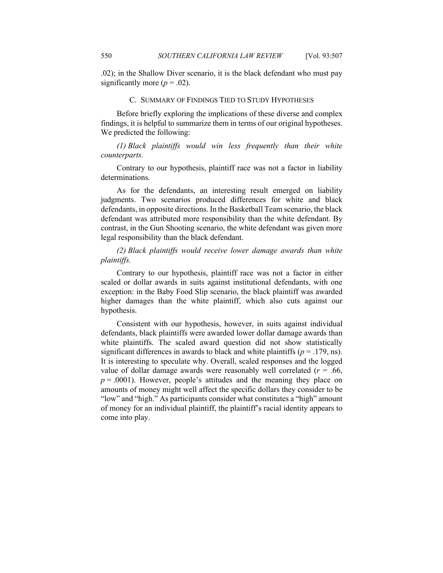.02); in the Shallow Diver scenario, it is the black defendant who must pay significantly more  $(p = .02)$ .

# C. SUMMARY OF FINDINGS TIED TO STUDY HYPOTHESES

Before briefly exploring the implications of these diverse and complex findings, it is helpful to summarize them in terms of our original hypotheses. We predicted the following:

*(1) Black plaintiffs would win less frequently than their white counterparts.*

Contrary to our hypothesis, plaintiff race was not a factor in liability determinations.

As for the defendants, an interesting result emerged on liability judgments. Two scenarios produced differences for white and black defendants, in opposite directions. In the Basketball Team scenario, the black defendant was attributed more responsibility than the white defendant. By contrast, in the Gun Shooting scenario, the white defendant was given more legal responsibility than the black defendant.

*(2) Black plaintiffs would receive lower damage awards than white plaintiffs.*

Contrary to our hypothesis, plaintiff race was not a factor in either scaled or dollar awards in suits against institutional defendants, with one exception: in the Baby Food Slip scenario, the black plaintiff was awarded higher damages than the white plaintiff, which also cuts against our hypothesis.

Consistent with our hypothesis, however, in suits against individual defendants, black plaintiffs were awarded lower dollar damage awards than white plaintiffs. The scaled award question did not show statistically significant differences in awards to black and white plaintiffs ( $p = .179$ , ns). It is interesting to speculate why. Overall, scaled responses and the logged value of dollar damage awards were reasonably well correlated  $(r = .66, )$  $p = .0001$ ). However, people's attitudes and the meaning they place on amounts of money might well affect the specific dollars they consider to be "low" and "high." As participants consider what constitutes a "high" amount of money for an individual plaintiff, the plaintiff's racial identity appears to come into play.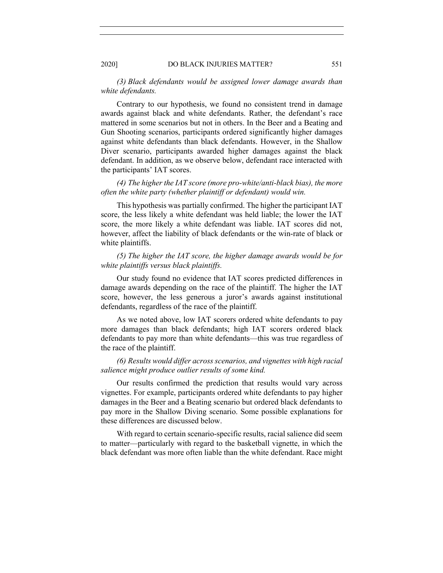*(3) Black defendants would be assigned lower damage awards than white defendants.*

Contrary to our hypothesis, we found no consistent trend in damage awards against black and white defendants. Rather, the defendant's race mattered in some scenarios but not in others. In the Beer and a Beating and Gun Shooting scenarios, participants ordered significantly higher damages against white defendants than black defendants. However, in the Shallow Diver scenario, participants awarded higher damages against the black defendant. In addition, as we observe below, defendant race interacted with the participants' IAT scores.

*(4) The higher the IAT score (more pro-white/anti-black bias), the more often the white party (whether plaintiff or defendant) would win.*

This hypothesis was partially confirmed. The higher the participant IAT score, the less likely a white defendant was held liable; the lower the IAT score, the more likely a white defendant was liable. IAT scores did not, however, affect the liability of black defendants or the win-rate of black or white plaintiffs.

*(5) The higher the IAT score, the higher damage awards would be for white plaintiffs versus black plaintiffs.*

Our study found no evidence that IAT scores predicted differences in damage awards depending on the race of the plaintiff. The higher the IAT score, however, the less generous a juror's awards against institutional defendants, regardless of the race of the plaintiff.

As we noted above, low IAT scorers ordered white defendants to pay more damages than black defendants; high IAT scorers ordered black defendants to pay more than white defendants—this was true regardless of the race of the plaintiff.

*(6) Results would differ across scenarios, and vignettes with high racial salience might produce outlier results of some kind.*

Our results confirmed the prediction that results would vary across vignettes. For example, participants ordered white defendants to pay higher damages in the Beer and a Beating scenario but ordered black defendants to pay more in the Shallow Diving scenario. Some possible explanations for these differences are discussed below.

With regard to certain scenario-specific results, racial salience did seem to matter—particularly with regard to the basketball vignette, in which the black defendant was more often liable than the white defendant. Race might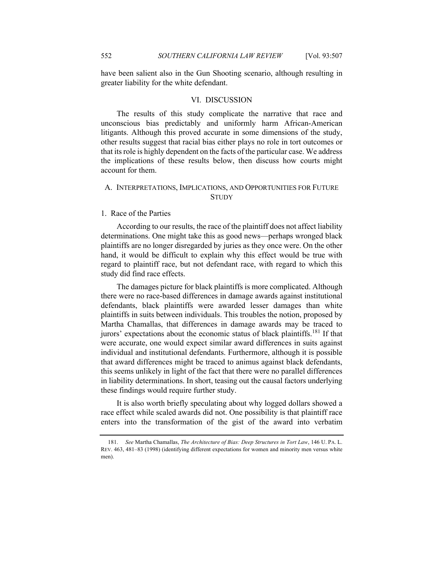have been salient also in the Gun Shooting scenario, although resulting in greater liability for the white defendant.

#### VI. DISCUSSION

The results of this study complicate the narrative that race and unconscious bias predictably and uniformly harm African-American litigants. Although this proved accurate in some dimensions of the study, other results suggest that racial bias either plays no role in tort outcomes or that its role is highly dependent on the facts of the particular case. We address the implications of these results below, then discuss how courts might account for them.

# A. INTERPRETATIONS, IMPLICATIONS, AND OPPORTUNITIES FOR FUTURE **STUDY**

#### 1. Race of the Parties

According to our results, the race of the plaintiff does not affect liability determinations. One might take this as good news—perhaps wronged black plaintiffs are no longer disregarded by juries as they once were. On the other hand, it would be difficult to explain why this effect would be true with regard to plaintiff race, but not defendant race, with regard to which this study did find race effects.

The damages picture for black plaintiffs is more complicated. Although there were no race-based differences in damage awards against institutional defendants, black plaintiffs were awarded lesser damages than white plaintiffs in suits between individuals. This troubles the notion, proposed by Martha Chamallas, that differences in damage awards may be traced to jurors' expectations about the economic status of black plaintiffs.<sup>181</sup> If that were accurate, one would expect similar award differences in suits against individual and institutional defendants. Furthermore, although it is possible that award differences might be traced to animus against black defendants, this seems unlikely in light of the fact that there were no parallel differences in liability determinations. In short, teasing out the causal factors underlying these findings would require further study.

It is also worth briefly speculating about why logged dollars showed a race effect while scaled awards did not. One possibility is that plaintiff race enters into the transformation of the gist of the award into verbatim

<sup>181.</sup> *See* Martha Chamallas, *The Architecture of Bias: Deep Structures in Tort Law*, 146 U. PA. L. REV. 463, 481–83 (1998) (identifying different expectations for women and minority men versus white men).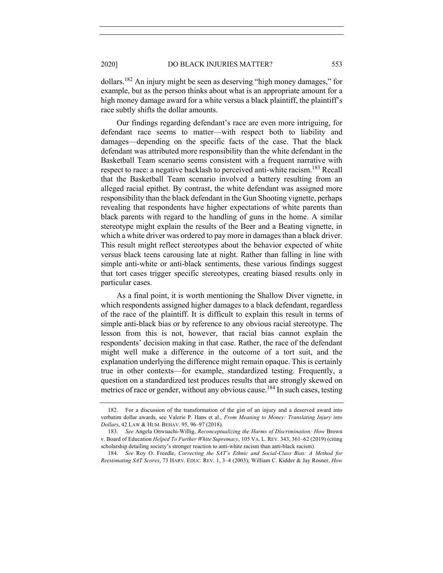dollars.182 An injury might be seen as deserving "high money damages," for example, but as the person thinks about what is an appropriate amount for a high money damage award for a white versus a black plaintiff, the plaintiff's race subtly shifts the dollar amounts.

Our findings regarding defendant's race are even more intriguing, for defendant race seems to matter—with respect both to liability and damages—depending on the specific facts of the case. That the black defendant was attributed more responsibility than the white defendant in the Basketball Team scenario seems consistent with a frequent narrative with respect to race: a negative backlash to perceived anti-white racism.<sup>183</sup> Recall that the Basketball Team scenario involved a battery resulting from an alleged racial epithet. By contrast, the white defendant was assigned more responsibility than the black defendant in the Gun Shooting vignette, perhaps revealing that respondents have higher expectations of white parents than black parents with regard to the handling of guns in the home. A similar stereotype might explain the results of the Beer and a Beating vignette, in which a white driver was ordered to pay more in damages than a black driver. This result might reflect stereotypes about the behavior expected of white versus black teens carousing late at night. Rather than falling in line with simple anti-white or anti-black sentiments, these various findings suggest that tort cases trigger specific stereotypes, creating biased results only in particular cases.

As a final point, it is worth mentioning the Shallow Diver vignette, in which respondents assigned higher damages to a black defendant, regardless of the race of the plaintiff. It is difficult to explain this result in terms of simple anti-black bias or by reference to any obvious racial stereotype. The lesson from this is not, however, that racial bias cannot explain the respondents' decision making in that case. Rather, the race of the defendant might well make a difference in the outcome of a tort suit, and the explanation underlying the difference might remain opaque. This is certainly true in other contexts—for example, standardized testing. Frequently, a question on a standardized test produces results that are strongly skewed on metrics of race or gender, without any obvious cause.<sup>184</sup> In such cases, testing

<sup>182.</sup> For a discussion of the transformation of the gist of an injury and a deserved award into verbatim dollar awards, see Valerie P. Hans et al., *From Meaning to Money: Translating Injury into Dollars*, 42 LAW & HUM. BEHAV. 95, 96–97 (2018).

<sup>183.</sup> *See* Angela Onwuachi-Willig, *Reconceptualizing the Harms of Discrimination: How* Brown v. Board of Education *Helped To Further White Supremacy*, 105 VA. L. REV. 343, 361–62 (2019) (citing scholarship detailing society's stronger reaction to anti-white racism than anti-black racism).

<sup>184.</sup> *See* Roy O. Freedle, *Correcting the SAT's Ethnic and Social-Class Bias: A Method for Reestimating SAT Scores*, 73 HARV. EDUC. REV. 1, 3–4 (2003); William C. Kidder & Jay Rosner, *How*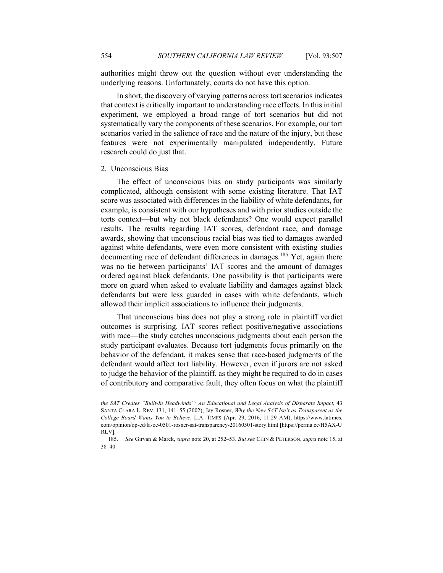authorities might throw out the question without ever understanding the underlying reasons. Unfortunately, courts do not have this option.

In short, the discovery of varying patterns across tort scenarios indicates that context is critically important to understanding race effects. In this initial experiment, we employed a broad range of tort scenarios but did not systematically vary the components of these scenarios. For example, our tort scenarios varied in the salience of race and the nature of the injury, but these features were not experimentally manipulated independently. Future research could do just that.

#### 2. Unconscious Bias

The effect of unconscious bias on study participants was similarly complicated, although consistent with some existing literature. That IAT score was associated with differences in the liability of white defendants, for example, is consistent with our hypotheses and with prior studies outside the torts context—but why not black defendants? One would expect parallel results. The results regarding IAT scores, defendant race, and damage awards, showing that unconscious racial bias was tied to damages awarded against white defendants, were even more consistent with existing studies documenting race of defendant differences in damages.<sup>185</sup> Yet, again there was no tie between participants' IAT scores and the amount of damages ordered against black defendants. One possibility is that participants were more on guard when asked to evaluate liability and damages against black defendants but were less guarded in cases with white defendants, which allowed their implicit associations to influence their judgments.

That unconscious bias does not play a strong role in plaintiff verdict outcomes is surprising. IAT scores reflect positive/negative associations with race—the study catches unconscious judgments about each person the study participant evaluates. Because tort judgments focus primarily on the behavior of the defendant, it makes sense that race-based judgments of the defendant would affect tort liability. However, even if jurors are not asked to judge the behavior of the plaintiff, as they might be required to do in cases of contributory and comparative fault, they often focus on what the plaintiff

*the SAT Creates "Built-In Headwinds": An Educational and Legal Analysis of Disparate Impact*, 43 SANTA CLARA L. REV. 131, 141–55 (2002); Jay Rosner, *Why the New SAT Isn't as Transparent as the College Board Wants You to Believe*, L.A. TIMES (Apr. 29, 2016, 11:29 AM), https://www.latimes. com/opinion/op-ed/la-oe-0501-rosner-sat-transparency-20160501-story.html [https://perma.cc/H5AX-U RLV].

<sup>185.</sup> *See* Girvan & Marek, *supra* note 20, at 252–53. *But see* CHIN & PETERSON, *supra* note 15, at 38–40.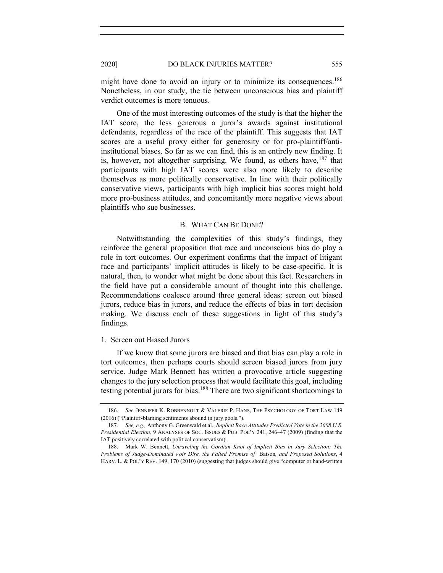might have done to avoid an injury or to minimize its consequences.<sup>186</sup> Nonetheless, in our study, the tie between unconscious bias and plaintiff verdict outcomes is more tenuous.

One of the most interesting outcomes of the study is that the higher the IAT score, the less generous a juror's awards against institutional defendants, regardless of the race of the plaintiff. This suggests that IAT scores are a useful proxy either for generosity or for pro-plaintiff/antiinstitutional biases. So far as we can find, this is an entirely new finding. It is, however, not altogether surprising. We found, as others have, <sup>187</sup> that participants with high IAT scores were also more likely to describe themselves as more politically conservative. In line with their politically conservative views, participants with high implicit bias scores might hold more pro-business attitudes, and concomitantly more negative views about plaintiffs who sue businesses.

#### B. WHAT CAN BE DONE?

Notwithstanding the complexities of this study's findings, they reinforce the general proposition that race and unconscious bias do play a role in tort outcomes. Our experiment confirms that the impact of litigant race and participants' implicit attitudes is likely to be case-specific. It is natural, then, to wonder what might be done about this fact. Researchers in the field have put a considerable amount of thought into this challenge. Recommendations coalesce around three general ideas: screen out biased jurors, reduce bias in jurors, and reduce the effects of bias in tort decision making. We discuss each of these suggestions in light of this study's findings.

#### 1. Screen out Biased Jurors

If we know that some jurors are biased and that bias can play a role in tort outcomes, then perhaps courts should screen biased jurors from jury service. Judge Mark Bennett has written a provocative article suggesting changes to the jury selection process that would facilitate this goal, including testing potential jurors for bias.<sup>188</sup> There are two significant shortcomings to

<sup>186.</sup> *See* JENNIFER K. ROBBENNOLT & VALERIE P. HANS, THE PSYCHOLOGY OF TORT LAW 149 (2016) ("Plaintiff-blaming sentiments abound in jury pools.").

<sup>187.</sup> *See, e.g.,* Anthony G. Greenwald et al., *Implicit Race Attitudes Predicted Vote in the 2008 U.S. Presidential Election*, 9 ANALYSES OF SOC. ISSUES & PUB. POL'Y 241, 246–47 (2009) (finding that the IAT positively correlated with political conservatism).

<sup>188.</sup> Mark W. Bennett, *Unraveling the Gordian Knot of Implicit Bias in Jury Selection: The Problems of Judge-Dominated Voir Dire, the Failed Promise of* Batson*, and Proposed Solutions*, 4 HARV. L. & POL'Y REV. 149, 170 (2010) (suggesting that judges should give "computer or hand-written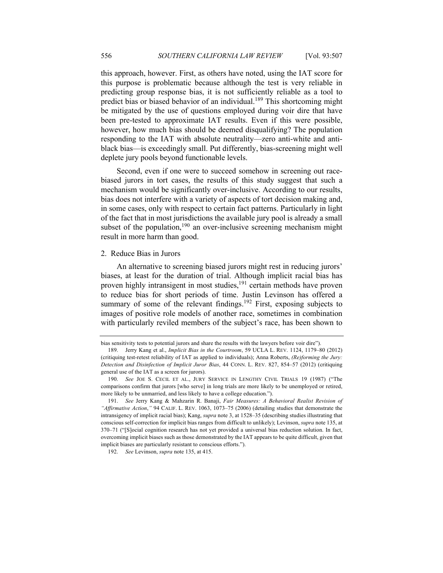this approach, however. First, as others have noted, using the IAT score for this purpose is problematic because although the test is very reliable in predicting group response bias, it is not sufficiently reliable as a tool to predict bias or biased behavior of an individual.<sup>189</sup> This shortcoming might be mitigated by the use of questions employed during voir dire that have been pre-tested to approximate IAT results. Even if this were possible, however, how much bias should be deemed disqualifying? The population responding to the IAT with absolute neutrality—zero anti-white and antiblack bias—is exceedingly small. Put differently, bias-screening might well deplete jury pools beyond functionable levels.

Second, even if one were to succeed somehow in screening out racebiased jurors in tort cases, the results of this study suggest that such a mechanism would be significantly over-inclusive. According to our results, bias does not interfere with a variety of aspects of tort decision making and, in some cases, only with respect to certain fact patterns. Particularly in light of the fact that in most jurisdictions the available jury pool is already a small subset of the population, $190$  an over-inclusive screening mechanism might result in more harm than good.

#### 2. Reduce Bias in Jurors

An alternative to screening biased jurors might rest in reducing jurors' biases, at least for the duration of trial. Although implicit racial bias has proven highly intransigent in most studies,<sup>191</sup> certain methods have proven to reduce bias for short periods of time. Justin Levinson has offered a summary of some of the relevant findings.<sup>192</sup> First, exposing subjects to images of positive role models of another race, sometimes in combination with particularly reviled members of the subject's race, has been shown to

bias sensitivity tests to potential jurors and share the results with the lawyers before voir dire").

<sup>189.</sup> Jerry Kang et al., *Implicit Bias in the Courtroom*, 59 UCLA L. REV. 1124, 1179–80 (2012) (critiquing test-retest reliability of IAT as applied to individuals); Anna Roberts, *(Re)forming the Jury: Detection and Disinfection of Implicit Juror Bias*, 44 CONN. L. REV. 827, 854–57 (2012) (critiquing general use of the IAT as a screen for jurors).

<sup>190.</sup> *See* JOE S. CECIL ET AL., JURY SERVICE IN LENGTHY CIVIL TRIALS 19 (1987) ("The comparisons confirm that jurors [who serve] in long trials are more likely to be unemployed or retired, more likely to be unmarried, and less likely to have a college education.").

<sup>191.</sup> *See* Jerry Kang & Mahzarin R. Banaji, *Fair Measures: A Behavioral Realist Revision of "Affirmative Action*,*"* 94 CALIF. L. REV. 1063, 1073–75 (2006) (detailing studies that demonstrate the intransigency of implicit racial bias); Kang, *supra* note 3, at 1528–35 (describing studies illustrating that conscious self-correction for implicit bias ranges from difficult to unlikely); Levinson, *supra* note 135, at 370–71 ("[S]ocial cognition research has not yet provided a universal bias reduction solution. In fact, overcoming implicit biases such as those demonstrated by the IAT appears to be quite difficult, given that implicit biases are particularly resistant to conscious efforts.").

<sup>192.</sup> *See* Levinson, *supra* note 135, at 415.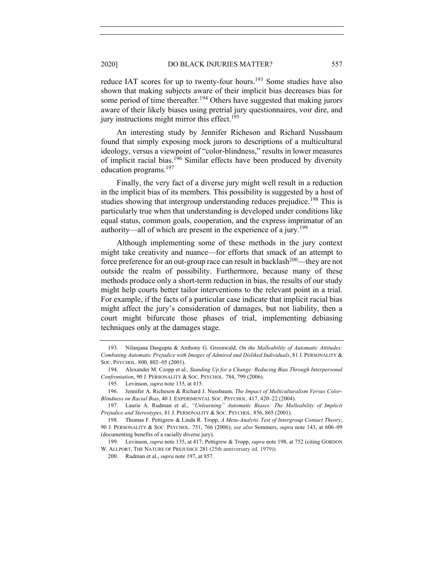reduce IAT scores for up to twenty-four hours.<sup>193</sup> Some studies have also shown that making subjects aware of their implicit bias decreases bias for some period of time thereafter.<sup>194</sup> Others have suggested that making jurors aware of their likely biases using pretrial jury questionnaires, voir dire, and jury instructions might mirror this effect.<sup>195</sup>

An interesting study by Jennifer Richeson and Richard Nussbaum found that simply exposing mock jurors to descriptions of a multicultural ideology, versus a viewpoint of "color-blindness," results in lower measures of implicit racial bias.<sup>196</sup> Similar effects have been produced by diversity education programs.<sup>197</sup>

Finally, the very fact of a diverse jury might well result in a reduction in the implicit bias of its members. This possibility is suggested by a host of studies showing that intergroup understanding reduces prejudice.<sup>198</sup> This is particularly true when that understanding is developed under conditions like equal status, common goals, cooperation, and the express imprimatur of an authority—all of which are present in the experience of a jury.<sup>199</sup>

Although implementing some of these methods in the jury context might take creativity and nuance—for efforts that smack of an attempt to force preference for an out-group race can result in backlash<sup>200</sup>—they are not outside the realm of possibility. Furthermore, because many of these methods produce only a short-term reduction in bias, the results of our study might help courts better tailor interventions to the relevant point in a trial. For example, if the facts of a particular case indicate that implicit racial bias might affect the jury's consideration of damages, but not liability, then a court might bifurcate those phases of trial, implementing debiasing techniques only at the damages stage.

<sup>193.</sup> Nilanjana Dasgupta & Anthony G. Greenwald, *On the Malleability of Automatic Attitudes: Combating Automatic Prejudice with Images of Admired and Disliked Individuals*, 81 J. PERSONALITY & SOC. PSYCHOL. 800, 802-05 (2001).

<sup>194.</sup> Alexander M. Czopp et al., *Standing Up for a Change: Reducing Bias Through Interpersonal Confrontation*, 90 J. PERSONALITY & SOC. PSYCHOL. 784, 799 (2006).

<sup>195.</sup> Levinson, *supra* note 135, at 415.

<sup>196.</sup> Jennifer A. Richeson & Richard J. Nussbaum, *The Impact of Multiculturalism Versus Color-Blindness on Racial Bias*, 40 J. EXPERIMENTAL SOC. PSYCHOL. 417, 420–22 (2004).

<sup>197.</sup> Laurie A. Rudman et al., *"Unlearning" Automatic Biases: The Malleability of Implicit Prejudice and Stereotypes*, 81 J. PERSONALITY & SOC. PSYCHOL. 856, 865 (2001).

<sup>198.</sup> Thomas F. Pettigrew & Linda R. Tropp, *A Meta-Analytic Test of Intergroup Contact Theory*, 90 J. PERSONALITY & SOC. PSYCHOL. 751, 766 (2006); *see also* Sommers, *supra* note 143, at 606–09 (documenting benefits of a racially diverse jury).

<sup>199.</sup> Levinson, *supra* note 135, at 417; Pettigrew & Tropp, *supra* note 198, at 752 (citing GORDON W. ALLPORT, THE NATURE OF PREJUDICE 281 (25th anniversary ed. 1979)).

<sup>200.</sup> Rudman et al., *supra* note 197, at 857.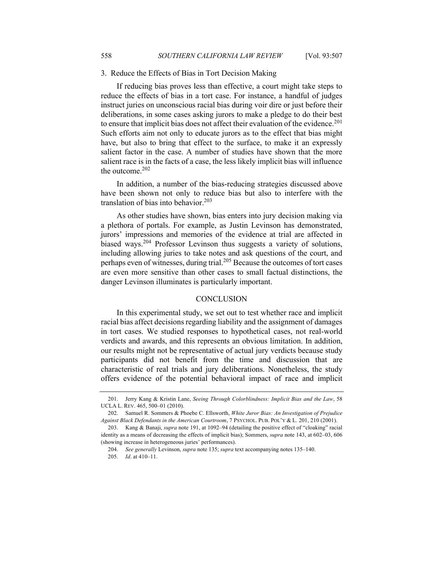#### 3. Reduce the Effects of Bias in Tort Decision Making

If reducing bias proves less than effective, a court might take steps to reduce the effects of bias in a tort case. For instance, a handful of judges instruct juries on unconscious racial bias during voir dire or just before their deliberations, in some cases asking jurors to make a pledge to do their best to ensure that implicit bias does not affect their evaluation of the evidence.<sup>201</sup> Such efforts aim not only to educate jurors as to the effect that bias might have, but also to bring that effect to the surface, to make it an expressly salient factor in the case. A number of studies have shown that the more salient race is in the facts of a case, the less likely implicit bias will influence the outcome.<sup>202</sup>

In addition, a number of the bias-reducing strategies discussed above have been shown not only to reduce bias but also to interfere with the translation of bias into behavior.<sup>203</sup>

As other studies have shown, bias enters into jury decision making via a plethora of portals. For example, as Justin Levinson has demonstrated, jurors' impressions and memories of the evidence at trial are affected in biased ways.204 Professor Levinson thus suggests a variety of solutions, including allowing juries to take notes and ask questions of the court, and perhaps even of witnesses, during trial.<sup>205</sup> Because the outcomes of tort cases are even more sensitive than other cases to small factual distinctions, the danger Levinson illuminates is particularly important.

#### **CONCLUSION**

In this experimental study, we set out to test whether race and implicit racial bias affect decisions regarding liability and the assignment of damages in tort cases. We studied responses to hypothetical cases, not real-world verdicts and awards, and this represents an obvious limitation. In addition, our results might not be representative of actual jury verdicts because study participants did not benefit from the time and discussion that are characteristic of real trials and jury deliberations. Nonetheless, the study offers evidence of the potential behavioral impact of race and implicit

<sup>201.</sup> Jerry Kang & Kristin Lane, *Seeing Through Colorblindness: Implicit Bias and the Law*, 58 UCLA L. REV. 465, 500–01 (2010).

<sup>202.</sup> Samuel R. Sommers & Phoebe C. Ellsworth, *White Juror Bias: An Investigation of Prejudice Against Black Defendants in the American Courtroom*, 7 PSYCHOL. PUB. POL'Y & L. 201, 210 (2001).

<sup>203.</sup> Kang & Banaji, *supra* note 191, at 1092–94 (detailing the positive effect of "cloaking" racial identity as a means of decreasing the effects of implicit bias); Sommers, *supra* note 143, at 602–03, 606 (showing increase in heterogeneous juries' performances).

<sup>204.</sup> *See generally* Levinson, *supra* note 135; *supra* text accompanying notes 135–140.

<sup>205.</sup> *Id*. at 410–11.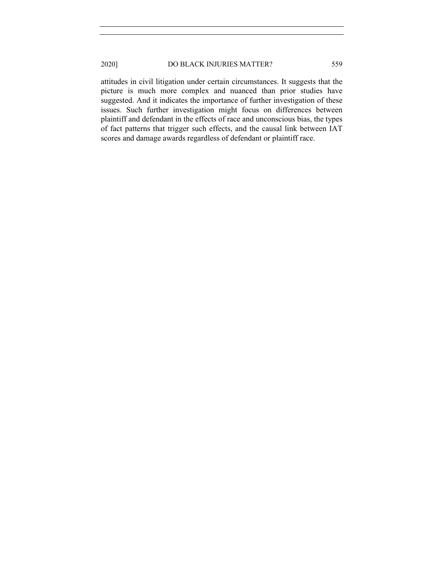# 2020] DO BLACK INJURIES MATTER? 559

attitudes in civil litigation under certain circumstances. It suggests that the picture is much more complex and nuanced than prior studies have suggested. And it indicates the importance of further investigation of these issues. Such further investigation might focus on differences between plaintiff and defendant in the effects of race and unconscious bias, the types of fact patterns that trigger such effects, and the causal link between IAT scores and damage awards regardless of defendant or plaintiff race.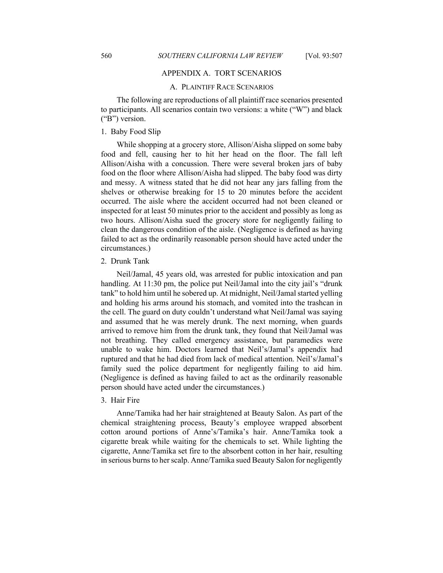# APPENDIX A. TORT SCENARIOS

#### A. PLAINTIFF RACE SCENARIOS

The following are reproductions of all plaintiff race scenarios presented to participants. All scenarios contain two versions: a white ("W") and black ("B") version.

# 1. Baby Food Slip

While shopping at a grocery store, Allison/Aisha slipped on some baby food and fell, causing her to hit her head on the floor. The fall left Allison/Aisha with a concussion. There were several broken jars of baby food on the floor where Allison/Aisha had slipped. The baby food was dirty and messy. A witness stated that he did not hear any jars falling from the shelves or otherwise breaking for 15 to 20 minutes before the accident occurred. The aisle where the accident occurred had not been cleaned or inspected for at least 50 minutes prior to the accident and possibly as long as two hours. Allison/Aisha sued the grocery store for negligently failing to clean the dangerous condition of the aisle. (Negligence is defined as having failed to act as the ordinarily reasonable person should have acted under the circumstances.)

#### 2. Drunk Tank

Neil/Jamal, 45 years old, was arrested for public intoxication and pan handling. At 11:30 pm, the police put Neil/Jamal into the city jail's "drunk" tank" to hold him until he sobered up. At midnight, Neil/Jamal started yelling and holding his arms around his stomach, and vomited into the trashcan in the cell. The guard on duty couldn't understand what Neil/Jamal was saying and assumed that he was merely drunk. The next morning, when guards arrived to remove him from the drunk tank, they found that Neil/Jamal was not breathing. They called emergency assistance, but paramedics were unable to wake him. Doctors learned that Neil's/Jamal's appendix had ruptured and that he had died from lack of medical attention. Neil's/Jamal's family sued the police department for negligently failing to aid him. (Negligence is defined as having failed to act as the ordinarily reasonable person should have acted under the circumstances.)

#### 3. Hair Fire

Anne/Tamika had her hair straightened at Beauty Salon. As part of the chemical straightening process, Beauty's employee wrapped absorbent cotton around portions of Anne's/Tamika's hair. Anne/Tamika took a cigarette break while waiting for the chemicals to set. While lighting the cigarette, Anne/Tamika set fire to the absorbent cotton in her hair, resulting in serious burns to her scalp. Anne/Tamika sued Beauty Salon for negligently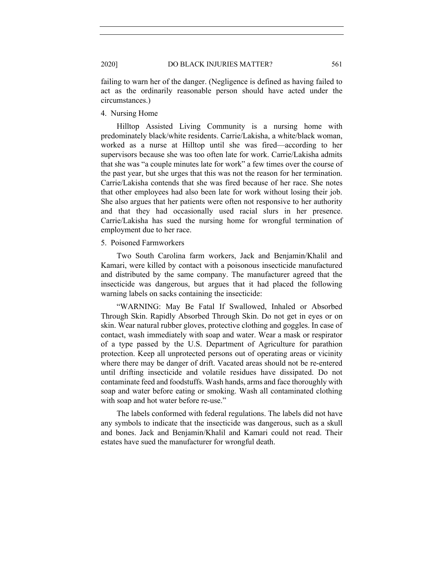failing to warn her of the danger. (Negligence is defined as having failed to act as the ordinarily reasonable person should have acted under the circumstances.)

4. Nursing Home

Hilltop Assisted Living Community is a nursing home with predominately black/white residents. Carrie/Lakisha, a white/black woman, worked as a nurse at Hilltop until she was fired—according to her supervisors because she was too often late for work. Carrie/Lakisha admits that she was "a couple minutes late for work" a few times over the course of the past year, but she urges that this was not the reason for her termination. Carrie/Lakisha contends that she was fired because of her race. She notes that other employees had also been late for work without losing their job. She also argues that her patients were often not responsive to her authority and that they had occasionally used racial slurs in her presence. Carrie/Lakisha has sued the nursing home for wrongful termination of employment due to her race.

#### 5. Poisoned Farmworkers

Two South Carolina farm workers, Jack and Benjamin/Khalil and Kamari, were killed by contact with a poisonous insecticide manufactured and distributed by the same company. The manufacturer agreed that the insecticide was dangerous, but argues that it had placed the following warning labels on sacks containing the insecticide:

"WARNING: May Be Fatal If Swallowed, Inhaled or Absorbed Through Skin. Rapidly Absorbed Through Skin. Do not get in eyes or on skin. Wear natural rubber gloves, protective clothing and goggles. In case of contact, wash immediately with soap and water. Wear a mask or respirator of a type passed by the U.S. Department of Agriculture for parathion protection. Keep all unprotected persons out of operating areas or vicinity where there may be danger of drift. Vacated areas should not be re-entered until drifting insecticide and volatile residues have dissipated. Do not contaminate feed and foodstuffs. Wash hands, arms and face thoroughly with soap and water before eating or smoking. Wash all contaminated clothing with soap and hot water before re-use."

The labels conformed with federal regulations. The labels did not have any symbols to indicate that the insecticide was dangerous, such as a skull and bones. Jack and Benjamin/Khalil and Kamari could not read. Their estates have sued the manufacturer for wrongful death.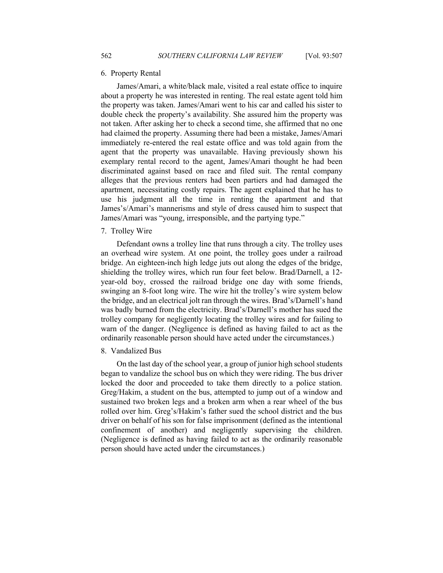#### 6. Property Rental

James/Amari, a white/black male, visited a real estate office to inquire about a property he was interested in renting. The real estate agent told him the property was taken. James/Amari went to his car and called his sister to double check the property's availability. She assured him the property was not taken. After asking her to check a second time, she affirmed that no one had claimed the property. Assuming there had been a mistake, James/Amari immediately re-entered the real estate office and was told again from the agent that the property was unavailable. Having previously shown his exemplary rental record to the agent, James/Amari thought he had been discriminated against based on race and filed suit. The rental company alleges that the previous renters had been partiers and had damaged the apartment, necessitating costly repairs. The agent explained that he has to use his judgment all the time in renting the apartment and that James's/Amari's mannerisms and style of dress caused him to suspect that James/Amari was "young, irresponsible, and the partying type."

#### 7. Trolley Wire

Defendant owns a trolley line that runs through a city. The trolley uses an overhead wire system. At one point, the trolley goes under a railroad bridge. An eighteen-inch high ledge juts out along the edges of the bridge, shielding the trolley wires, which run four feet below. Brad/Darnell, a 12 year-old boy, crossed the railroad bridge one day with some friends, swinging an 8-foot long wire. The wire hit the trolley's wire system below the bridge, and an electrical jolt ran through the wires. Brad's/Darnell's hand was badly burned from the electricity. Brad's/Darnell's mother has sued the trolley company for negligently locating the trolley wires and for failing to warn of the danger. (Negligence is defined as having failed to act as the ordinarily reasonable person should have acted under the circumstances.)

#### 8. Vandalized Bus

On the last day of the school year, a group of junior high school students began to vandalize the school bus on which they were riding. The bus driver locked the door and proceeded to take them directly to a police station. Greg/Hakim, a student on the bus, attempted to jump out of a window and sustained two broken legs and a broken arm when a rear wheel of the bus rolled over him. Greg's/Hakim's father sued the school district and the bus driver on behalf of his son for false imprisonment (defined as the intentional confinement of another) and negligently supervising the children. (Negligence is defined as having failed to act as the ordinarily reasonable person should have acted under the circumstances.)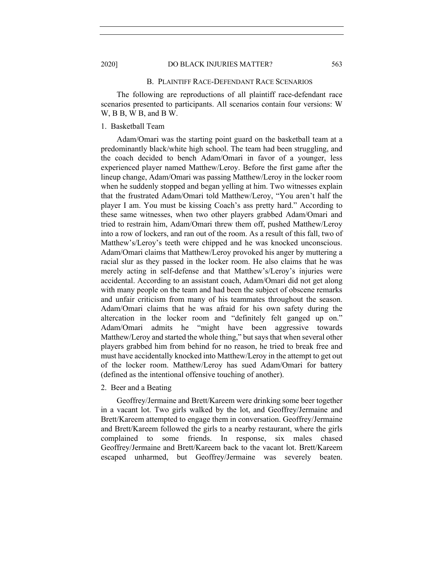#### 2020] DO BLACK INJURIES MATTER? 563

#### B. PLAINTIFF RACE-DEFENDANT RACE SCENARIOS

The following are reproductions of all plaintiff race-defendant race scenarios presented to participants. All scenarios contain four versions: W W, B B, W B, and B W.

# 1. Basketball Team

Adam/Omari was the starting point guard on the basketball team at a predominantly black/white high school. The team had been struggling, and the coach decided to bench Adam/Omari in favor of a younger, less experienced player named Matthew/Leroy. Before the first game after the lineup change, Adam/Omari was passing Matthew/Leroy in the locker room when he suddenly stopped and began yelling at him. Two witnesses explain that the frustrated Adam/Omari told Matthew/Leroy, "You aren't half the player I am. You must be kissing Coach's ass pretty hard." According to these same witnesses, when two other players grabbed Adam/Omari and tried to restrain him, Adam/Omari threw them off, pushed Matthew/Leroy into a row of lockers, and ran out of the room. As a result of this fall, two of Matthew's/Leroy's teeth were chipped and he was knocked unconscious. Adam/Omari claims that Matthew/Leroy provoked his anger by muttering a racial slur as they passed in the locker room. He also claims that he was merely acting in self-defense and that Matthew's/Leroy's injuries were accidental. According to an assistant coach, Adam/Omari did not get along with many people on the team and had been the subject of obscene remarks and unfair criticism from many of his teammates throughout the season. Adam/Omari claims that he was afraid for his own safety during the altercation in the locker room and "definitely felt ganged up on." Adam/Omari admits he "might have been aggressive towards Matthew/Leroy and started the whole thing," but says that when several other players grabbed him from behind for no reason, he tried to break free and must have accidentally knocked into Matthew/Leroy in the attempt to get out of the locker room. Matthew/Leroy has sued Adam/Omari for battery (defined as the intentional offensive touching of another).

#### 2. Beer and a Beating

Geoffrey/Jermaine and Brett/Kareem were drinking some beer together in a vacant lot. Two girls walked by the lot, and Geoffrey/Jermaine and Brett/Kareem attempted to engage them in conversation. Geoffrey/Jermaine and Brett/Kareem followed the girls to a nearby restaurant, where the girls complained to some friends. In response, six males chased Geoffrey/Jermaine and Brett/Kareem back to the vacant lot. Brett/Kareem escaped unharmed, but Geoffrey/Jermaine was severely beaten.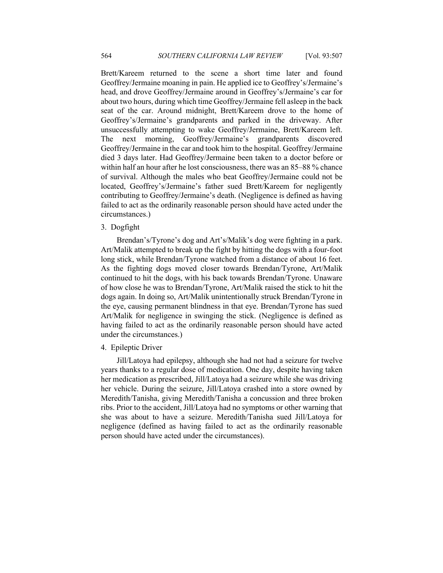Brett/Kareem returned to the scene a short time later and found Geoffrey/Jermaine moaning in pain. He applied ice to Geoffrey's/Jermaine's head, and drove Geoffrey/Jermaine around in Geoffrey's/Jermaine's car for about two hours, during which time Geoffrey/Jermaine fell asleep in the back seat of the car. Around midnight, Brett/Kareem drove to the home of Geoffrey's/Jermaine's grandparents and parked in the driveway. After unsuccessfully attempting to wake Geoffrey/Jermaine, Brett/Kareem left. The next morning, Geoffrey/Jermaine's grandparents discovered Geoffrey/Jermaine in the car and took him to the hospital. Geoffrey/Jermaine died 3 days later. Had Geoffrey/Jermaine been taken to a doctor before or within half an hour after he lost consciousness, there was an 85–88 % chance of survival. Although the males who beat Geoffrey/Jermaine could not be located, Geoffrey's/Jermaine's father sued Brett/Kareem for negligently contributing to Geoffrey/Jermaine's death. (Negligence is defined as having failed to act as the ordinarily reasonable person should have acted under the circumstances.)

# 3. Dogfight

Brendan's/Tyrone's dog and Art's/Malik's dog were fighting in a park. Art/Malik attempted to break up the fight by hitting the dogs with a four-foot long stick, while Brendan/Tyrone watched from a distance of about 16 feet. As the fighting dogs moved closer towards Brendan/Tyrone, Art/Malik continued to hit the dogs, with his back towards Brendan/Tyrone. Unaware of how close he was to Brendan/Tyrone, Art/Malik raised the stick to hit the dogs again. In doing so, Art/Malik unintentionally struck Brendan/Tyrone in the eye, causing permanent blindness in that eye. Brendan/Tyrone has sued Art/Malik for negligence in swinging the stick. (Negligence is defined as having failed to act as the ordinarily reasonable person should have acted under the circumstances.)

#### 4. Epileptic Driver

Jill/Latoya had epilepsy, although she had not had a seizure for twelve years thanks to a regular dose of medication. One day, despite having taken her medication as prescribed, Jill/Latoya had a seizure while she was driving her vehicle. During the seizure, Jill/Latoya crashed into a store owned by Meredith/Tanisha, giving Meredith/Tanisha a concussion and three broken ribs. Prior to the accident, Jill/Latoya had no symptoms or other warning that she was about to have a seizure. Meredith/Tanisha sued Jill/Latoya for negligence (defined as having failed to act as the ordinarily reasonable person should have acted under the circumstances).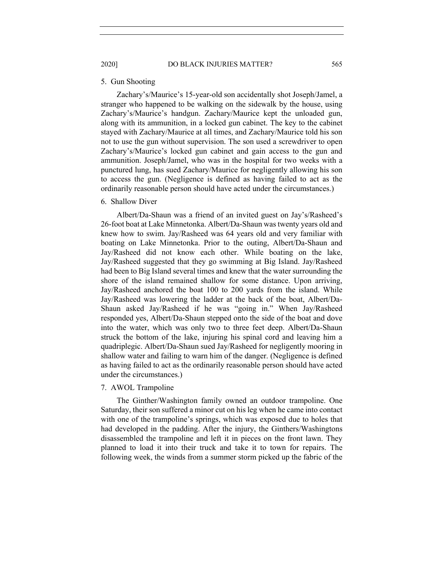#### 5. Gun Shooting

Zachary's/Maurice's 15-year-old son accidentally shot Joseph/Jamel, a stranger who happened to be walking on the sidewalk by the house, using Zachary's/Maurice's handgun. Zachary/Maurice kept the unloaded gun, along with its ammunition, in a locked gun cabinet. The key to the cabinet stayed with Zachary/Maurice at all times, and Zachary/Maurice told his son not to use the gun without supervision. The son used a screwdriver to open Zachary's/Maurice's locked gun cabinet and gain access to the gun and ammunition. Joseph/Jamel, who was in the hospital for two weeks with a punctured lung, has sued Zachary/Maurice for negligently allowing his son to access the gun. (Negligence is defined as having failed to act as the ordinarily reasonable person should have acted under the circumstances.)

#### 6. Shallow Diver

Albert/Da-Shaun was a friend of an invited guest on Jay's/Rasheed's 26-foot boat at Lake Minnetonka. Albert/Da-Shaun was twenty years old and knew how to swim. Jay/Rasheed was 64 years old and very familiar with boating on Lake Minnetonka. Prior to the outing, Albert/Da-Shaun and Jay/Rasheed did not know each other. While boating on the lake, Jay/Rasheed suggested that they go swimming at Big Island. Jay/Rasheed had been to Big Island several times and knew that the water surrounding the shore of the island remained shallow for some distance. Upon arriving, Jay/Rasheed anchored the boat 100 to 200 yards from the island. While Jay/Rasheed was lowering the ladder at the back of the boat, Albert/Da-Shaun asked Jay/Rasheed if he was "going in." When Jay/Rasheed responded yes, Albert/Da-Shaun stepped onto the side of the boat and dove into the water, which was only two to three feet deep. Albert/Da-Shaun struck the bottom of the lake, injuring his spinal cord and leaving him a quadriplegic. Albert/Da-Shaun sued Jay/Rasheed for negligently mooring in shallow water and failing to warn him of the danger. (Negligence is defined as having failed to act as the ordinarily reasonable person should have acted under the circumstances.)

#### 7. AWOL Trampoline

The Ginther/Washington family owned an outdoor trampoline. One Saturday, their son suffered a minor cut on his leg when he came into contact with one of the trampoline's springs, which was exposed due to holes that had developed in the padding. After the injury, the Ginthers/Washingtons disassembled the trampoline and left it in pieces on the front lawn. They planned to load it into their truck and take it to town for repairs. The following week, the winds from a summer storm picked up the fabric of the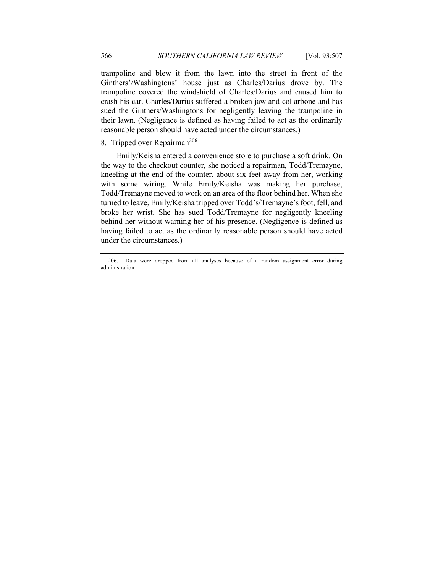trampoline and blew it from the lawn into the street in front of the Ginthers'/Washingtons' house just as Charles/Darius drove by. The trampoline covered the windshield of Charles/Darius and caused him to crash his car. Charles/Darius suffered a broken jaw and collarbone and has sued the Ginthers/Washingtons for negligently leaving the trampoline in their lawn. (Negligence is defined as having failed to act as the ordinarily reasonable person should have acted under the circumstances.)

# 8. Tripped over Repairman<sup>206</sup>

Emily/Keisha entered a convenience store to purchase a soft drink. On the way to the checkout counter, she noticed a repairman, Todd/Tremayne, kneeling at the end of the counter, about six feet away from her, working with some wiring. While Emily/Keisha was making her purchase, Todd/Tremayne moved to work on an area of the floor behind her. When she turned to leave, Emily/Keisha tripped over Todd's/Tremayne's foot, fell, and broke her wrist. She has sued Todd/Tremayne for negligently kneeling behind her without warning her of his presence. (Negligence is defined as having failed to act as the ordinarily reasonable person should have acted under the circumstances.)

<sup>206.</sup> Data were dropped from all analyses because of a random assignment error during administration.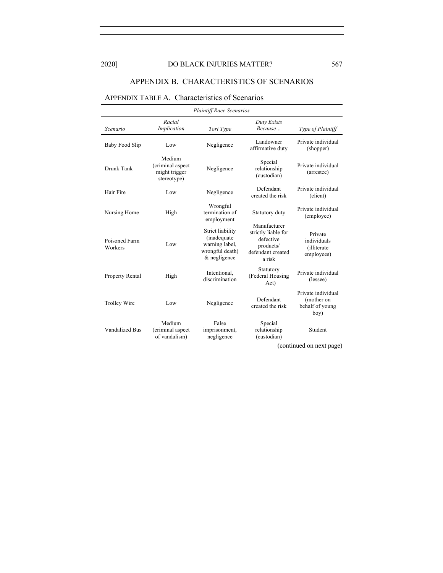# 2020] DO BLACK INJURIES MATTER? 567

# APPENDIX B. CHARACTERISTICS OF SCENARIOS

# APPENDIX TABLE A. Characteristics of Scenarios

| <b>Plaintiff Race Scenarios</b> |                                                            |                                                                                       |                                                                                              |                                                             |
|---------------------------------|------------------------------------------------------------|---------------------------------------------------------------------------------------|----------------------------------------------------------------------------------------------|-------------------------------------------------------------|
| Scenario                        | Racial<br>Implication                                      | Tort Type                                                                             | Duty Exists<br>Because                                                                       | Type of Plaintiff                                           |
| Baby Food Slip                  | Low                                                        | Negligence                                                                            | Landowner<br>affirmative duty                                                                | Private individual<br>(shopper)                             |
| Drunk Tank                      | Medium<br>(criminal aspect<br>might trigger<br>stereotype) | Negligence                                                                            | Special<br>relationship<br>(custodian)                                                       | Private individual<br>(arrestee)                            |
| Hair Fire                       | Low                                                        | Negligence                                                                            | Defendant<br>created the risk                                                                | Private individual<br>(client)                              |
| Nursing Home                    | High                                                       | Wrongful<br>termination of<br>employment                                              | Statutory duty                                                                               | Private individual<br>(employee)                            |
| Poisoned Farm<br>Workers        | Low                                                        | Strict liability<br>(inadequate)<br>warning label,<br>wrongful death)<br>& negligence | Manufacturer<br>strictly liable for<br>defective<br>products/<br>defendant created<br>a risk | Private<br>individuals<br>(illiterate)<br>employees)        |
| <b>Property Rental</b>          | High                                                       | Intentional.<br>discrimination                                                        | Statutory<br>(Federal Housing<br>Act)                                                        | Private individual<br>(lessee)                              |
| Trolley Wire                    | Low                                                        | Negligence                                                                            | Defendant<br>created the risk                                                                | Private individual<br>(mother on<br>behalf of young<br>boy) |
| <b>Vandalized Bus</b>           | Medium<br>(criminal aspect<br>of vandalism)                | False<br>imprisonment,<br>negligence                                                  | Special<br>relationship<br>(custodian)                                                       | Student                                                     |
| (continued on next page)        |                                                            |                                                                                       |                                                                                              |                                                             |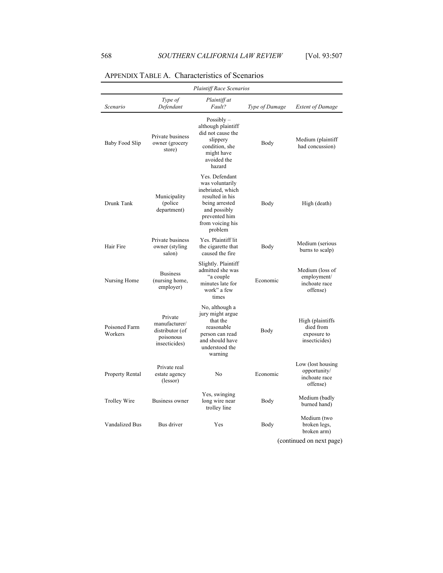|                          |                                                                           | <b>Plaintiff Race Scenarios</b>                                                                                                                             |                |                                                                |
|--------------------------|---------------------------------------------------------------------------|-------------------------------------------------------------------------------------------------------------------------------------------------------------|----------------|----------------------------------------------------------------|
| Scenario                 | Type of<br>Defendant                                                      | Plaintiff at<br>Fault?                                                                                                                                      | Type of Damage | <b>Extent of Damage</b>                                        |
| Baby Food Slip           | Private business<br>owner (grocery<br>store)                              | Possibly $-$<br>although plaintiff<br>did not cause the<br>slippery<br>condition, she<br>might have<br>avoided the<br>hazard                                | Body           | Medium (plaintiff<br>had concussion)                           |
| Drunk Tank               | Municipality<br>(police)<br>department)                                   | Yes. Defendant<br>was voluntarily<br>inebriated, which<br>resulted in his<br>being arrested<br>and possibly<br>prevented him<br>from voicing his<br>problem | Body           | High (death)                                                   |
| Hair Fire                | Private business<br>owner (styling)<br>salon)                             | Yes. Plaintiff lit<br>the cigarette that<br>caused the fire                                                                                                 | Body           | Medium (serious<br>burns to scalp)                             |
| Nursing Home             | <b>Business</b><br>(nursing home,<br>employer)                            | Slightly. Plaintiff<br>admitted she was<br>"a couple"<br>minutes late for<br>work" a few<br>times                                                           | Economic       | Medium (loss of<br>employment/<br>inchoate race<br>offense)    |
| Poisoned Farm<br>Workers | Private<br>manufacturer/<br>distributor (of<br>poisonous<br>insecticides) | No, although a<br>jury might argue<br>that the<br>reasonable<br>person can read<br>and should have<br>understood the<br>warning                             | Body           | High (plaintiffs<br>died from<br>exposure to<br>insecticides)  |
| Property Rental          | Private real<br>estate agency<br>(lessor)                                 | No                                                                                                                                                          | Economic       | Low (lost housing<br>opportunity/<br>inchoate race<br>offense) |
| Trolley Wire             | Business owner                                                            | Yes, swinging<br>long wire near<br>trolley line                                                                                                             | Body           | Medium (badly<br>burned hand)                                  |
| Vandalized Bus           | Bus driver                                                                | Yes                                                                                                                                                         | Body           | Medium (two<br>broken legs,<br>broken arm)                     |

# APPENDIX TABLE A. Characteristics of Scenarios

(continued on next page)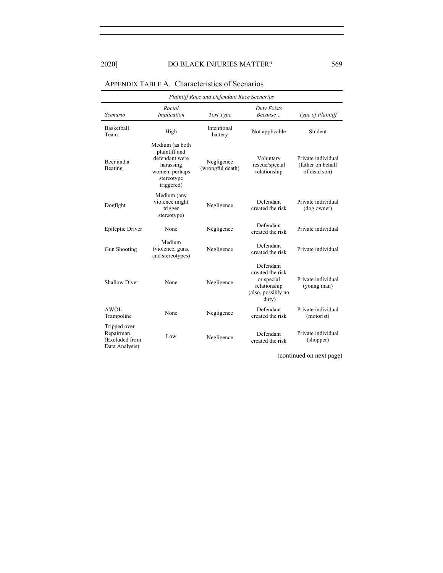# 2020] DO BLACK INJURIES MATTER? 569

| Plaintiff Race and Defendant Race Scenarios                   |                                                                                                               |                                |                                                                                            |                                                         |  |  |
|---------------------------------------------------------------|---------------------------------------------------------------------------------------------------------------|--------------------------------|--------------------------------------------------------------------------------------------|---------------------------------------------------------|--|--|
| Scenario                                                      | Racial<br>Implication                                                                                         | Tort Type                      | Duty Exists<br>Because                                                                     | Type of Plaintiff                                       |  |  |
| Basketball<br>Team                                            | High                                                                                                          | Intentional<br>battery         | Not applicable                                                                             | Student                                                 |  |  |
| Beer and a<br>Beating                                         | Medium (as both<br>plaintiff and<br>defendant were<br>harassing<br>women, perhaps<br>stereotype<br>triggered) | Negligence<br>(wrongful death) | Voluntary<br>rescue/special<br>relationship                                                | Private individual<br>(father on behalf<br>of dead son) |  |  |
| Dogfight                                                      | Medium (any<br>violence might<br>trigger<br>stereotype)                                                       | Negligence                     | Defendant<br>created the risk                                                              | Private individual<br>(dog owner)                       |  |  |
| Epileptic Driver                                              | None                                                                                                          | Negligence                     | Defendant<br>created the risk                                                              | Private individual                                      |  |  |
| Gun Shooting                                                  | Medium<br>(violence, guns,<br>and stereotypes)                                                                | Negligence                     | Defendant<br>created the risk                                                              | Private individual                                      |  |  |
| <b>Shallow Diver</b>                                          | None                                                                                                          | Negligence                     | Defendant<br>created the risk<br>or special<br>relationship<br>(also, possibly no<br>duty) | Private individual<br>(young man)                       |  |  |
| AWOL<br>Trampoline                                            | None                                                                                                          | Negligence                     | Defendant<br>created the risk                                                              | Private individual<br>(motorist)                        |  |  |
| Tripped over<br>Repairman<br>(Excluded from<br>Data Analysis) | Low                                                                                                           | Negligence                     | Defendant<br>created the risk                                                              | Private individual<br>(shopper)                         |  |  |

# APPENDIX TABLE A. Characteristics of Scenarios

(continued on next page)